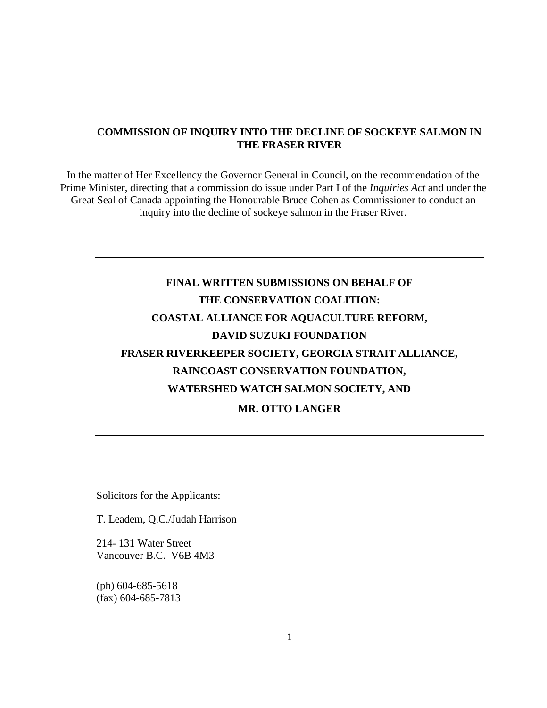# **COMMISSION OF INQUIRY INTO THE DECLINE OF SOCKEYE SALMON IN THE FRASER RIVER**

In the matter of Her Excellency the Governor General in Council, on the recommendation of the Prime Minister, directing that a commission do issue under Part I of the *Inquiries Act* and under the Great Seal of Canada appointing the Honourable Bruce Cohen as Commissioner to conduct an inquiry into the decline of sockeye salmon in the Fraser River.

# **FINAL WRITTEN SUBMISSIONS ON BEHALF OF THE CONSERVATION COALITION: COASTAL ALLIANCE FOR AQUACULTURE REFORM, DAVID SUZUKI FOUNDATION FRASER RIVERKEEPER SOCIETY, GEORGIA STRAIT ALLIANCE, RAINCOAST CONSERVATION FOUNDATION, WATERSHED WATCH SALMON SOCIETY, AND MR. OTTO LANGER**

Solicitors for the Applicants:

T. Leadem, Q.C./Judah Harrison

214- 131 Water Street Vancouver B.C. V6B 4M3

(ph) 604-685-5618 (fax) 604-685-7813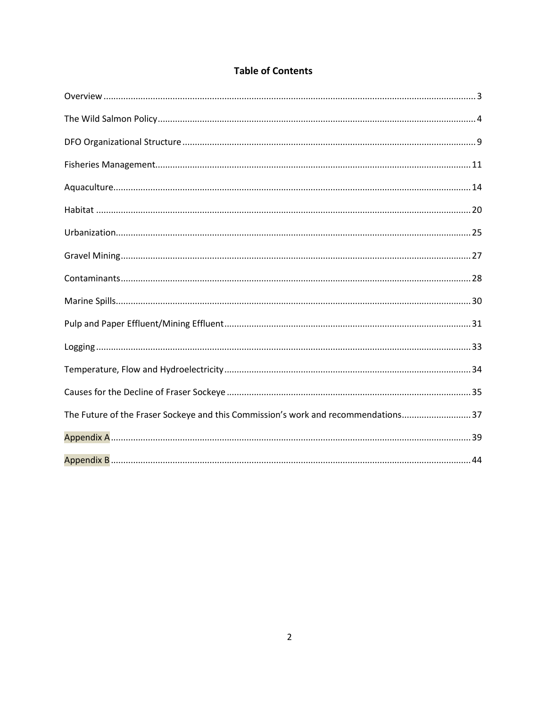| <b>Table of Contents</b> |  |  |  |  |
|--------------------------|--|--|--|--|
|--------------------------|--|--|--|--|

| The Future of the Fraser Sockeye and this Commission's work and recommendations37 |
|-----------------------------------------------------------------------------------|
|                                                                                   |
|                                                                                   |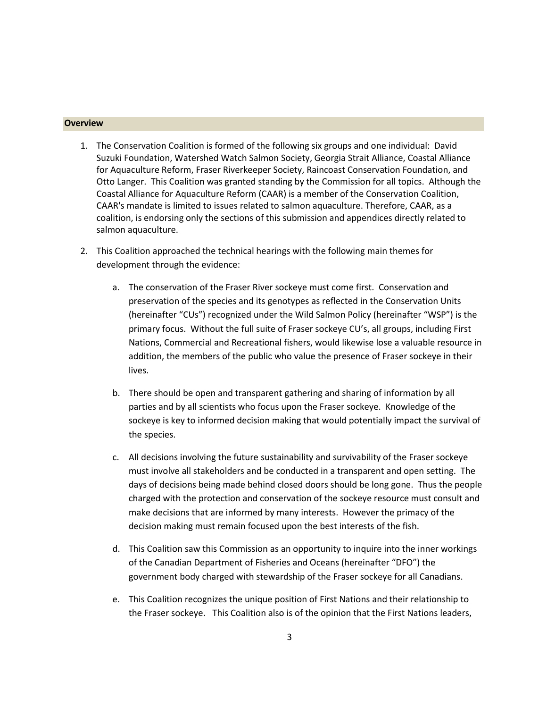# <span id="page-2-0"></span>**Overview**

- 1. The Conservation Coalition is formed of the following six groups and one individual: David Suzuki Foundation, Watershed Watch Salmon Society, Georgia Strait Alliance, Coastal Alliance for Aquaculture Reform, Fraser Riverkeeper Society, Raincoast Conservation Foundation, and Otto Langer. This Coalition was granted standing by the Commission for all topics. Although the Coastal Alliance for Aquaculture Reform (CAAR) is a member of the Conservation Coalition, CAAR's mandate is limited to issues related to salmon aquaculture. Therefore, CAAR, as a coalition, is endorsing only the sections of this submission and appendices directly related to salmon aquaculture.
- 2. This Coalition approached the technical hearings with the following main themes for development through the evidence:
	- a. The conservation of the Fraser River sockeye must come first. Conservation and preservation of the species and its genotypes as reflected in the Conservation Units (hereinafter "CUs") recognized under the Wild Salmon Policy (hereinafter "WSP") is the primary focus. Without the full suite of Fraser sockeye CU's, all groups, including First Nations, Commercial and Recreational fishers, would likewise lose a valuable resource in addition, the members of the public who value the presence of Fraser sockeye in their lives.
	- b. There should be open and transparent gathering and sharing of information by all parties and by all scientists who focus upon the Fraser sockeye. Knowledge of the sockeye is key to informed decision making that would potentially impact the survival of the species.
	- c. All decisions involving the future sustainability and survivability of the Fraser sockeye must involve all stakeholders and be conducted in a transparent and open setting. The days of decisions being made behind closed doors should be long gone. Thus the people charged with the protection and conservation of the sockeye resource must consult and make decisions that are informed by many interests. However the primacy of the decision making must remain focused upon the best interests of the fish.
	- d. This Coalition saw this Commission as an opportunity to inquire into the inner workings of the Canadian Department of Fisheries and Oceans (hereinafter "DFO") the government body charged with stewardship of the Fraser sockeye for all Canadians.
	- e. This Coalition recognizes the unique position of First Nations and their relationship to the Fraser sockeye. This Coalition also is of the opinion that the First Nations leaders,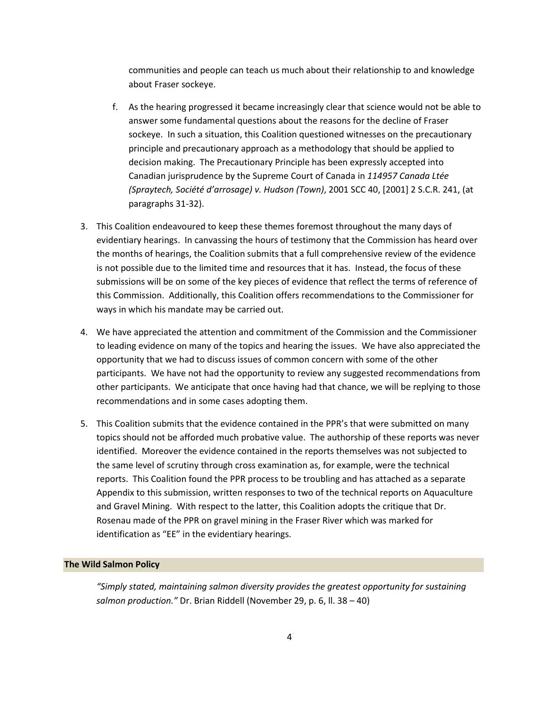communities and people can teach us much about their relationship to and knowledge about Fraser sockeye.

- f. As the hearing progressed it became increasingly clear that science would not be able to answer some fundamental questions about the reasons for the decline of Fraser sockeye. In such a situation, this Coalition questioned witnesses on the precautionary principle and precautionary approach as a methodology that should be applied to decision making. The Precautionary Principle has been expressly accepted into Canadian jurisprudence by the Supreme Court of Canada in *114957 Canada Ltée (Spraytech, Société d'arrosage) v. Hudson (Town)*, 2001 SCC 40, [2001] 2 S.C.R. 241, (at paragraphs 31-32).
- 3. This Coalition endeavoured to keep these themes foremost throughout the many days of evidentiary hearings. In canvassing the hours of testimony that the Commission has heard over the months of hearings, the Coalition submits that a full comprehensive review of the evidence is not possible due to the limited time and resources that it has. Instead, the focus of these submissions will be on some of the key pieces of evidence that reflect the terms of reference of this Commission. Additionally, this Coalition offers recommendations to the Commissioner for ways in which his mandate may be carried out.
- 4. We have appreciated the attention and commitment of the Commission and the Commissioner to leading evidence on many of the topics and hearing the issues. We have also appreciated the opportunity that we had to discuss issues of common concern with some of the other participants. We have not had the opportunity to review any suggested recommendations from other participants. We anticipate that once having had that chance, we will be replying to those recommendations and in some cases adopting them.
- 5. This Coalition submits that the evidence contained in the PPR's that were submitted on many topics should not be afforded much probative value. The authorship of these reports was never identified. Moreover the evidence contained in the reports themselves was not subjected to the same level of scrutiny through cross examination as, for example, were the technical reports. This Coalition found the PPR process to be troubling and has attached as a separate Appendix to this submission, written responses to two of the technical reports on Aquaculture and Gravel Mining. With respect to the latter, this Coalition adopts the critique that Dr. Rosenau made of the PPR on gravel mining in the Fraser River which was marked for identification as "EE" in the evidentiary hearings.

#### <span id="page-3-0"></span>**The Wild Salmon Policy**

*"Simply stated, maintaining salmon diversity provides the greatest opportunity for sustaining salmon production."* Dr. Brian Riddell (November 29, p. 6, ll. 38 – 40)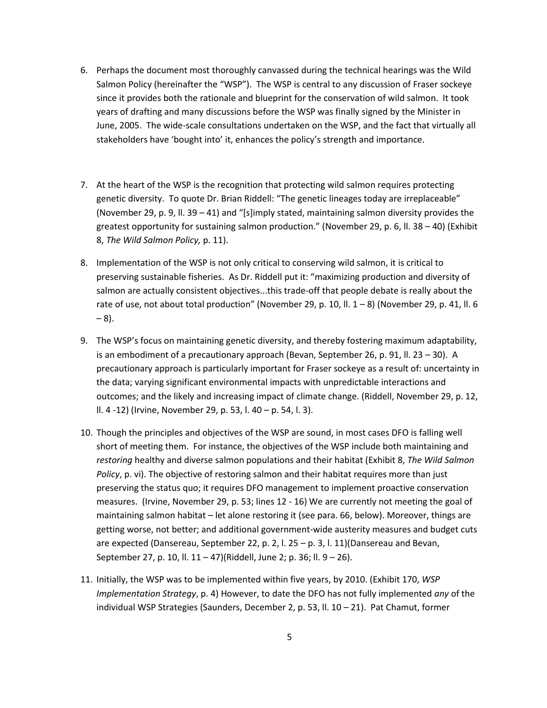- 6. Perhaps the document most thoroughly canvassed during the technical hearings was the Wild Salmon Policy (hereinafter the "WSP"). The WSP is central to any discussion of Fraser sockeye since it provides both the rationale and blueprint for the conservation of wild salmon. It took years of drafting and many discussions before the WSP was finally signed by the Minister in June, 2005. The wide-scale consultations undertaken on the WSP, and the fact that virtually all stakeholders have 'bought into' it, enhances the policy's strength and importance.
- 7. At the heart of the WSP is the recognition that protecting wild salmon requires protecting genetic diversity. To quote Dr. Brian Riddell: "The genetic lineages today are irreplaceable" (November 29, p. 9, II. 39 – 41) and "[s]imply stated, maintaining salmon diversity provides the greatest opportunity for sustaining salmon production." (November 29, p. 6, ll. 38 – 40) (Exhibit 8, *The Wild Salmon Policy,* p. 11).
- 8. Implementation of the WSP is not only critical to conserving wild salmon, it is critical to preserving sustainable fisheries. As Dr. Riddell put it: "maximizing production and diversity of salmon are actually consistent objectives...this trade-off that people debate is really about the rate of use, not about total production" (November 29, p. 10, ll.  $1-8$ ) (November 29, p. 41, ll. 6  $-8$ ).
- 9. The WSP's focus on maintaining genetic diversity, and thereby fostering maximum adaptability, is an embodiment of a precautionary approach (Bevan, September 26, p. 91, ll. 23 – 30). A precautionary approach is particularly important for Fraser sockeye as a result of: uncertainty in the data; varying significant environmental impacts with unpredictable interactions and outcomes; and the likely and increasing impact of climate change. (Riddell, November 29, p. 12, ll. 4 -12) (Irvine, November 29, p. 53, l. 40 – p. 54, l. 3).
- 10. Though the principles and objectives of the WSP are sound, in most cases DFO is falling well short of meeting them. For instance, the objectives of the WSP include both maintaining and *restoring* healthy and diverse salmon populations and their habitat (Exhibit 8, *The Wild Salmon Policy*, p. vi). The objective of restoring salmon and their habitat requires more than just preserving the status quo; it requires DFO management to implement proactive conservation measures. (Irvine, November 29, p. 53; lines 12 - 16) We are currently not meeting the goal of maintaining salmon habitat – let alone restoring it (see para. 66, below). Moreover, things are getting worse, not better; and additional government-wide austerity measures and budget cuts are expected (Dansereau, September 22, p. 2, l. 25 – p. 3, l. 11) (Dansereau and Bevan, September 27, p. 10, ll. 11 – 47)(Riddell, June 2; p. 36; ll. 9 – 26).
- 11. Initially, the WSP was to be implemented within five years, by 2010. (Exhibit 170, *WSP Implementation Strategy*, p. 4) However, to date the DFO has not fully implemented *any* of the individual WSP Strategies (Saunders, December 2, p. 53, ll. 10 – 21). Pat Chamut, former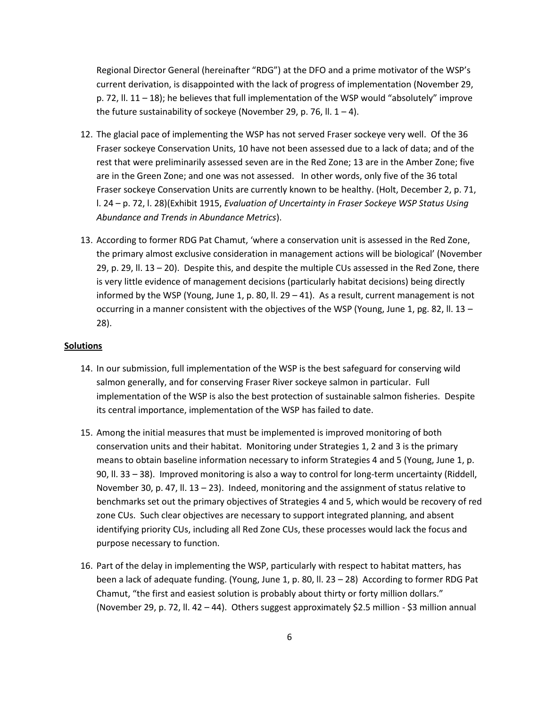Regional Director General (hereinafter "RDG") at the DFO and a prime motivator of the WSP's current derivation, is disappointed with the lack of progress of implementation (November 29, p. 72, ll. 11 – 18); he believes that full implementation of the WSP would "absolutely" improve the future sustainability of sockeye (November 29, p. 76, ll.  $1 - 4$ ).

- 12. The glacial pace of implementing the WSP has not served Fraser sockeye very well. Of the 36 Fraser sockeye Conservation Units, 10 have not been assessed due to a lack of data; and of the rest that were preliminarily assessed seven are in the Red Zone; 13 are in the Amber Zone; five are in the Green Zone; and one was not assessed. In other words, only five of the 36 total Fraser sockeye Conservation Units are currently known to be healthy. (Holt, December 2, p. 71, l. 24 – p. 72, l. 28)(Exhibit 1915, *Evaluation of Uncertainty in Fraser Sockeye WSP Status Using Abundance and Trends in Abundance Metrics*).
- 13. According to former RDG Pat Chamut, 'where a conservation unit is assessed in the Red Zone, the primary almost exclusive consideration in management actions will be biological' (November 29, p. 29, ll. 13 – 20). Despite this, and despite the multiple CUs assessed in the Red Zone, there is very little evidence of management decisions (particularly habitat decisions) being directly informed by the WSP (Young, June 1, p. 80, II. 29 – 41). As a result, current management is not occurring in a manner consistent with the objectives of the WSP (Young, June 1, pg. 82, ll. 13 – 28).

#### **Solutions**

- 14. In our submission, full implementation of the WSP is the best safeguard for conserving wild salmon generally, and for conserving Fraser River sockeye salmon in particular. Full implementation of the WSP is also the best protection of sustainable salmon fisheries. Despite its central importance, implementation of the WSP has failed to date.
- 15. Among the initial measures that must be implemented is improved monitoring of both conservation units and their habitat. Monitoring under Strategies 1, 2 and 3 is the primary means to obtain baseline information necessary to inform Strategies 4 and 5 (Young, June 1, p. 90, ll. 33 – 38). Improved monitoring is also a way to control for long-term uncertainty (Riddell, November 30, p. 47, II. 13 – 23). Indeed, monitoring and the assignment of status relative to benchmarks set out the primary objectives of Strategies 4 and 5, which would be recovery of red zone CUs. Such clear objectives are necessary to support integrated planning, and absent identifying priority CUs, including all Red Zone CUs, these processes would lack the focus and purpose necessary to function.
- 16. Part of the delay in implementing the WSP, particularly with respect to habitat matters, has been a lack of adequate funding. (Young, June 1, p. 80, ll. 23 – 28) According to former RDG Pat Chamut, "the first and easiest solution is probably about thirty or forty million dollars." (November 29, p. 72, ll. 42 – 44). Others suggest approximately \$2.5 million - \$3 million annual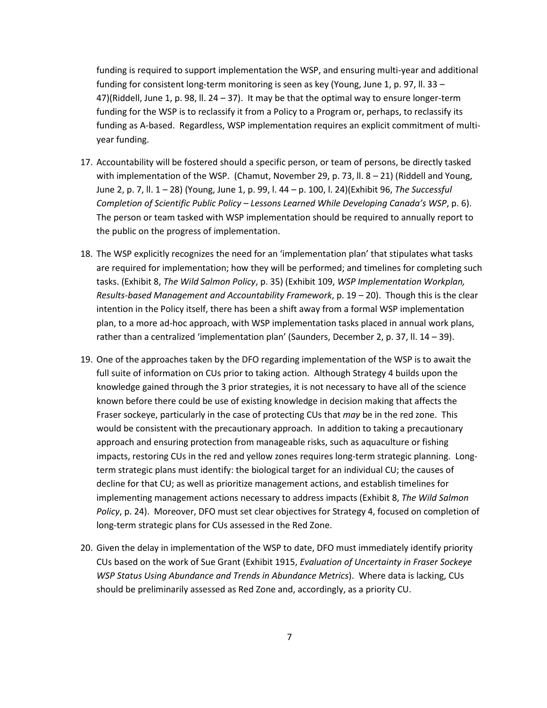funding is required to support implementation the WSP, and ensuring multi-year and additional funding for consistent long-term monitoring is seen as key (Young, June 1, p. 97, II. 33 – 47)(Riddell, June 1, p. 98, ll. 24 – 37). It may be that the optimal way to ensure longer-term funding for the WSP is to reclassify it from a Policy to a Program or, perhaps, to reclassify its funding as A-based. Regardless, WSP implementation requires an explicit commitment of multiyear funding.

- 17. Accountability will be fostered should a specific person, or team of persons, be directly tasked with implementation of the WSP. (Chamut, November 29, p. 73, II. 8 – 21) (Riddell and Young, June 2, p. 7, ll. 1 – 28) (Young, June 1, p. 99, l. 44 – p. 100, l. 24)(Exhibit 96, *The Successful Completion of Scientific Public Policy – Lessons Learned While Developing Canada's WSP*, p. 6). The person or team tasked with WSP implementation should be required to annually report to the public on the progress of implementation.
- 18. The WSP explicitly recognizes the need for an 'implementation plan' that stipulates what tasks are required for implementation; how they will be performed; and timelines for completing such tasks. (Exhibit 8, *The Wild Salmon Policy*, p. 35) (Exhibit 109, *WSP Implementation Workplan, Results-based Management and Accountability Framework*, p. 19 – 20). Though this is the clear intention in the Policy itself, there has been a shift away from a formal WSP implementation plan, to a more ad-hoc approach, with WSP implementation tasks placed in annual work plans, rather than a centralized 'implementation plan' (Saunders, December 2, p. 37, ll. 14 – 39).
- 19. One of the approaches taken by the DFO regarding implementation of the WSP is to await the full suite of information on CUs prior to taking action. Although Strategy 4 builds upon the knowledge gained through the 3 prior strategies, it is not necessary to have all of the science known before there could be use of existing knowledge in decision making that affects the Fraser sockeye, particularly in the case of protecting CUs that *may* be in the red zone. This would be consistent with the precautionary approach. In addition to taking a precautionary approach and ensuring protection from manageable risks, such as aquaculture or fishing impacts, restoring CUs in the red and yellow zones requires long-term strategic planning. Longterm strategic plans must identify: the biological target for an individual CU; the causes of decline for that CU; as well as prioritize management actions, and establish timelines for implementing management actions necessary to address impacts (Exhibit 8, *The Wild Salmon Policy*, p. 24). Moreover, DFO must set clear objectives for Strategy 4, focused on completion of long-term strategic plans for CUs assessed in the Red Zone.
- 20. Given the delay in implementation of the WSP to date, DFO must immediately identify priority CUs based on the work of Sue Grant (Exhibit 1915, *Evaluation of Uncertainty in Fraser Sockeye WSP Status Using Abundance and Trends in Abundance Metrics*). Where data is lacking, CUs should be preliminarily assessed as Red Zone and, accordingly, as a priority CU.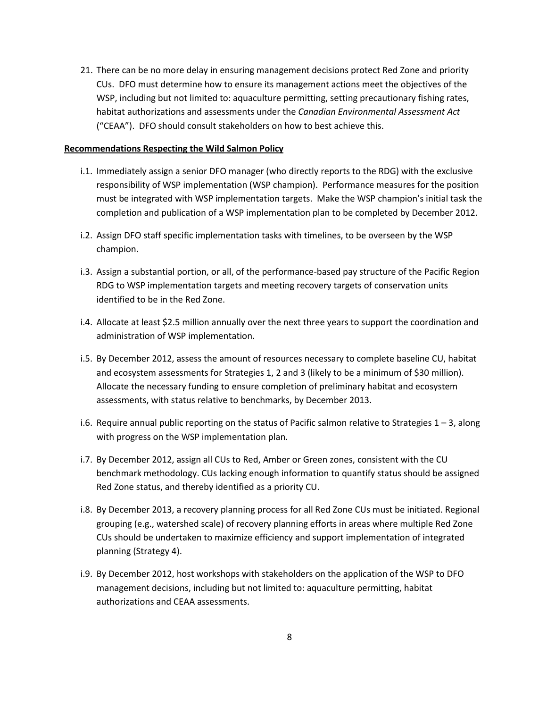21. There can be no more delay in ensuring management decisions protect Red Zone and priority CUs. DFO must determine how to ensure its management actions meet the objectives of the WSP, including but not limited to: aquaculture permitting, setting precautionary fishing rates, habitat authorizations and assessments under the *Canadian Environmental Assessment Act*  ("CEAA"). DFO should consult stakeholders on how to best achieve this.

#### **Recommendations Respecting the Wild Salmon Policy**

- i.1. Immediately assign a senior DFO manager (who directly reports to the RDG) with the exclusive responsibility of WSP implementation (WSP champion). Performance measures for the position must be integrated with WSP implementation targets. Make the WSP champion's initial task the completion and publication of a WSP implementation plan to be completed by December 2012.
- i.2. Assign DFO staff specific implementation tasks with timelines, to be overseen by the WSP champion.
- i.3. Assign a substantial portion, or all, of the performance-based pay structure of the Pacific Region RDG to WSP implementation targets and meeting recovery targets of conservation units identified to be in the Red Zone.
- i.4. Allocate at least \$2.5 million annually over the next three years to support the coordination and administration of WSP implementation.
- i.5. By December 2012, assess the amount of resources necessary to complete baseline CU, habitat and ecosystem assessments for Strategies 1, 2 and 3 (likely to be a minimum of \$30 million). Allocate the necessary funding to ensure completion of preliminary habitat and ecosystem assessments, with status relative to benchmarks, by December 2013.
- i.6. Require annual public reporting on the status of Pacific salmon relative to Strategies 1 3, along with progress on the WSP implementation plan.
- i.7. By December 2012, assign all CUs to Red, Amber or Green zones, consistent with the CU benchmark methodology. CUs lacking enough information to quantify status should be assigned Red Zone status, and thereby identified as a priority CU.
- i.8. By December 2013, a recovery planning process for all Red Zone CUs must be initiated. Regional grouping (e.g., watershed scale) of recovery planning efforts in areas where multiple Red Zone CUs should be undertaken to maximize efficiency and support implementation of integrated planning (Strategy 4).
- i.9. By December 2012, host workshops with stakeholders on the application of the WSP to DFO management decisions, including but not limited to: aquaculture permitting, habitat authorizations and CEAA assessments.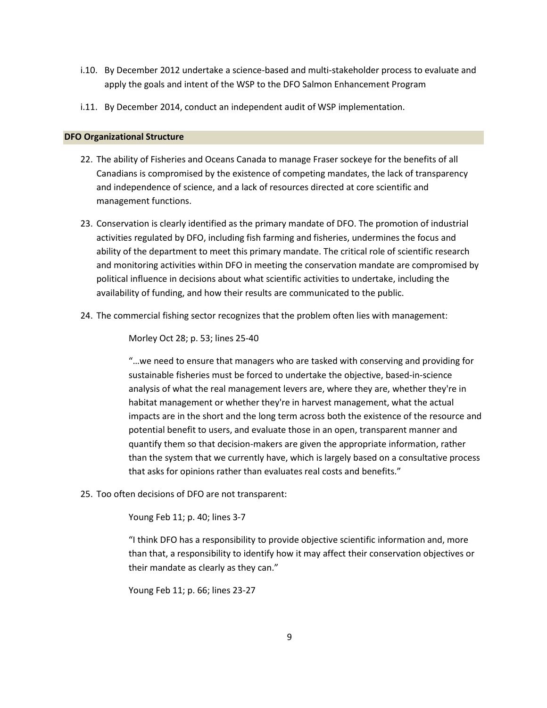- i.10. By December 2012 undertake a science-based and multi-stakeholder process to evaluate and apply the goals and intent of the WSP to the DFO Salmon Enhancement Program
- i.11. By December 2014, conduct an independent audit of WSP implementation.

# <span id="page-8-0"></span>**DFO Organizational Structure**

- 22. The ability of Fisheries and Oceans Canada to manage Fraser sockeye for the benefits of all Canadians is compromised by the existence of competing mandates, the lack of transparency and independence of science, and a lack of resources directed at core scientific and management functions.
- 23. Conservation is clearly identified as the primary mandate of DFO. The promotion of industrial activities regulated by DFO, including fish farming and fisheries, undermines the focus and ability of the department to meet this primary mandate. The critical role of scientific research and monitoring activities within DFO in meeting the conservation mandate are compromised by political influence in decisions about what scientific activities to undertake, including the availability of funding, and how their results are communicated to the public.
- 24. The commercial fishing sector recognizes that the problem often lies with management:

Morley Oct 28; p. 53; lines 25-40

"…we need to ensure that managers who are tasked with conserving and providing for sustainable fisheries must be forced to undertake the objective, based-in-science analysis of what the real management levers are, where they are, whether they're in habitat management or whether they're in harvest management, what the actual impacts are in the short and the long term across both the existence of the resource and potential benefit to users, and evaluate those in an open, transparent manner and quantify them so that decision-makers are given the appropriate information, rather than the system that we currently have, which is largely based on a consultative process that asks for opinions rather than evaluates real costs and benefits."

25. Too often decisions of DFO are not transparent:

Young Feb 11; p. 40; lines 3-7

"I think DFO has a responsibility to provide objective scientific information and, more than that, a responsibility to identify how it may affect their conservation objectives or their mandate as clearly as they can."

Young Feb 11; p. 66; lines 23-27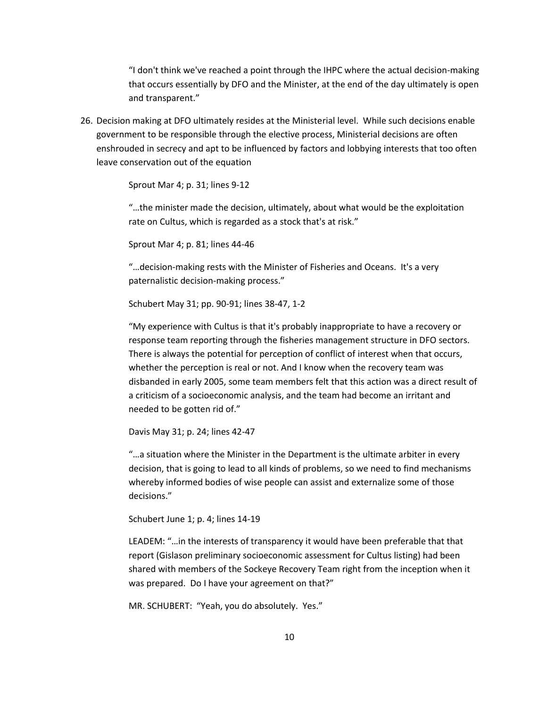"I don't think we've reached a point through the IHPC where the actual decision-making that occurs essentially by DFO and the Minister, at the end of the day ultimately is open and transparent."

26. Decision making at DFO ultimately resides at the Ministerial level. While such decisions enable government to be responsible through the elective process, Ministerial decisions are often enshrouded in secrecy and apt to be influenced by factors and lobbying interests that too often leave conservation out of the equation

Sprout Mar 4; p. 31; lines 9-12

"…the minister made the decision, ultimately, about what would be the exploitation rate on Cultus, which is regarded as a stock that's at risk."

Sprout Mar 4; p. 81; lines 44-46

"…decision-making rests with the Minister of Fisheries and Oceans. It's a very paternalistic decision-making process."

Schubert May 31; pp. 90-91; lines 38-47, 1-2

"My experience with Cultus is that it's probably inappropriate to have a recovery or response team reporting through the fisheries management structure in DFO sectors. There is always the potential for perception of conflict of interest when that occurs, whether the perception is real or not. And I know when the recovery team was disbanded in early 2005, some team members felt that this action was a direct result of a criticism of a socioeconomic analysis, and the team had become an irritant and needed to be gotten rid of."

Davis May 31; p. 24; lines 42-47

"…a situation where the Minister in the Department is the ultimate arbiter in every decision, that is going to lead to all kinds of problems, so we need to find mechanisms whereby informed bodies of wise people can assist and externalize some of those decisions."

Schubert June 1; p. 4; lines 14-19

LEADEM: "…in the interests of transparency it would have been preferable that that report (Gislason preliminary socioeconomic assessment for Cultus listing) had been shared with members of the Sockeye Recovery Team right from the inception when it was prepared. Do I have your agreement on that?"

MR. SCHUBERT: "Yeah, you do absolutely. Yes."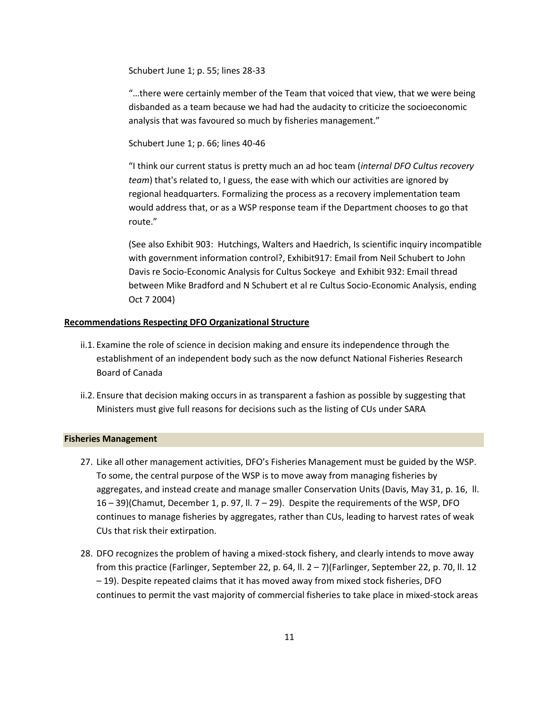Schubert June 1; p. 55; lines 28-33

"…there were certainly member of the Team that voiced that view, that we were being disbanded as a team because we had had the audacity to criticize the socioeconomic analysis that was favoured so much by fisheries management."

Schubert June 1; p. 66; lines 40-46

"I think our current status is pretty much an ad hoc team (*internal DFO Cultus recovery team*) that's related to, I guess, the ease with which our activities are ignored by regional headquarters. Formalizing the process as a recovery implementation team would address that, or as a WSP response team if the Department chooses to go that route."

(See also Exhibit 903: Hutchings, Walters and Haedrich, Is scientific inquiry incompatible with government information control?, Exhibit917: Email from Neil Schubert to John Davis re Socio-Economic Analysis for Cultus Sockeye and Exhibit 932: Email thread between Mike Bradford and N Schubert et al re Cultus Socio-Economic Analysis, ending Oct 7 2004)

# **Recommendations Respecting DFO Organizational Structure**

- ii.1. Examine the role of science in decision making and ensure its independence through the establishment of an independent body such as the now defunct National Fisheries Research Board of Canada
- ii.2. Ensure that decision making occurs in as transparent a fashion as possible by suggesting that Ministers must give full reasons for decisions such as the listing of CUs under SARA

# <span id="page-10-0"></span>**Fisheries Management**

- 27. Like all other management activities, DFO's Fisheries Management must be guided by the WSP. To some, the central purpose of the WSP is to move away from managing fisheries by aggregates, and instead create and manage smaller Conservation Units (Davis, May 31, p. 16, ll. 16 – 39)(Chamut, December 1, p. 97, ll. 7 – 29). Despite the requirements of the WSP, DFO continues to manage fisheries by aggregates, rather than CUs, leading to harvest rates of weak CUs that risk their extirpation.
- 28. DFO recognizes the problem of having a mixed-stock fishery, and clearly intends to move away from this practice (Farlinger, September 22, p. 64, ll. 2 – 7)(Farlinger, September 22, p. 70, ll. 12 – 19). Despite repeated claims that it has moved away from mixed stock fisheries, DFO continues to permit the vast majority of commercial fisheries to take place in mixed-stock areas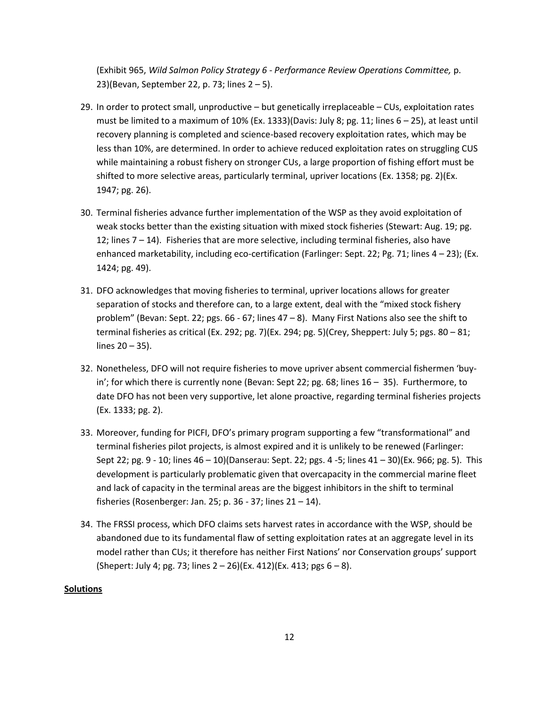(Exhibit 965, *Wild Salmon Policy Strategy 6 - Performance Review Operations Committee,* p. 23)(Bevan, September 22, p. 73; lines 2 – 5).

- 29. In order to protect small, unproductive but genetically irreplaceable CUs, exploitation rates must be limited to a maximum of 10% (Ex. 1333)(Davis: July 8; pg. 11; lines 6 – 25), at least until recovery planning is completed and science-based recovery exploitation rates, which may be less than 10%, are determined. In order to achieve reduced exploitation rates on struggling CUS while maintaining a robust fishery on stronger CUs, a large proportion of fishing effort must be shifted to more selective areas, particularly terminal, upriver locations (Ex. 1358; pg. 2)(Ex. 1947; pg. 26).
- 30. Terminal fisheries advance further implementation of the WSP as they avoid exploitation of weak stocks better than the existing situation with mixed stock fisheries (Stewart: Aug. 19; pg. 12; lines 7 – 14). Fisheries that are more selective, including terminal fisheries, also have enhanced marketability, including eco-certification (Farlinger: Sept. 22; Pg. 71; lines 4 – 23); (Ex. 1424; pg. 49).
- 31. DFO acknowledges that moving fisheries to terminal, upriver locations allows for greater separation of stocks and therefore can, to a large extent, deal with the "mixed stock fishery problem" (Bevan: Sept. 22; pgs. 66 - 67; lines 47 – 8). Many First Nations also see the shift to terminal fisheries as critical (Ex. 292; pg. 7)(Ex. 294; pg. 5)(Crey, Sheppert: July 5; pgs. 80 – 81; lines 20 – 35).
- 32. Nonetheless, DFO will not require fisheries to move upriver absent commercial fishermen 'buyin'; for which there is currently none (Bevan: Sept 22; pg. 68; lines 16 – 35). Furthermore, to date DFO has not been very supportive, let alone proactive, regarding terminal fisheries projects (Ex. 1333; pg. 2).
- 33. Moreover, funding for PICFI, DFO's primary program supporting a few "transformational" and terminal fisheries pilot projects, is almost expired and it is unlikely to be renewed (Farlinger: Sept 22; pg. 9 - 10; lines 46 – 10)(Danserau: Sept. 22; pgs. 4 -5; lines 41 – 30)(Ex. 966; pg. 5). This development is particularly problematic given that overcapacity in the commercial marine fleet and lack of capacity in the terminal areas are the biggest inhibitors in the shift to terminal fisheries (Rosenberger: Jan. 25; p. 36 - 37; lines 21 – 14).
- 34. The FRSSI process, which DFO claims sets harvest rates in accordance with the WSP, should be abandoned due to its fundamental flaw of setting exploitation rates at an aggregate level in its model rather than CUs; it therefore has neither First Nations' nor Conservation groups' support (Shepert: July 4; pg. 73; lines  $2 - 26$ )(Ex. 412)(Ex. 413; pgs  $6 - 8$ ).

# **Solutions**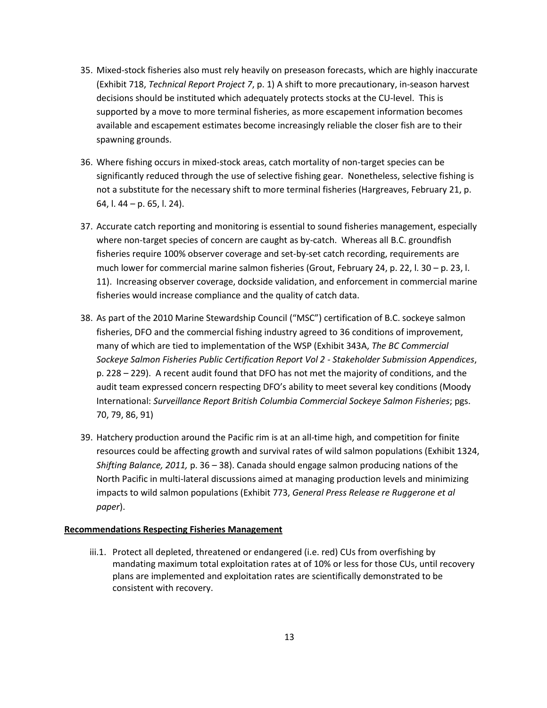- 35. Mixed-stock fisheries also must rely heavily on preseason forecasts, which are highly inaccurate (Exhibit 718, *Technical Report Project 7*, p. 1) A shift to more precautionary, in-season harvest decisions should be instituted which adequately protects stocks at the CU-level. This is supported by a move to more terminal fisheries, as more escapement information becomes available and escapement estimates become increasingly reliable the closer fish are to their spawning grounds.
- 36. Where fishing occurs in mixed-stock areas, catch mortality of non-target species can be significantly reduced through the use of selective fishing gear. Nonetheless, selective fishing is not a substitute for the necessary shift to more terminal fisheries (Hargreaves, February 21, p. 64, l. 44 – p. 65, l. 24).
- 37. Accurate catch reporting and monitoring is essential to sound fisheries management, especially where non-target species of concern are caught as by-catch. Whereas all B.C. groundfish fisheries require 100% observer coverage and set-by-set catch recording, requirements are much lower for commercial marine salmon fisheries (Grout, February 24, p. 22, l. 30 – p. 23, l. 11). Increasing observer coverage, dockside validation, and enforcement in commercial marine fisheries would increase compliance and the quality of catch data.
- 38. As part of the 2010 Marine Stewardship Council ("MSC") certification of B.C. sockeye salmon fisheries, DFO and the commercial fishing industry agreed to 36 conditions of improvement, many of which are tied to implementation of the WSP (Exhibit 343A, *The BC Commercial Sockeye Salmon Fisheries Public Certification Report Vol 2 - Stakeholder Submission Appendices*, p. 228 – 229). A recent audit found that DFO has not met the majority of conditions, and the audit team expressed concern respecting DFO's ability to meet several key conditions (Moody International: *Surveillance Report British Columbia Commercial Sockeye Salmon Fisheries*; pgs. 70, 79, 86, 91)
- 39. Hatchery production around the Pacific rim is at an all-time high, and competition for finite resources could be affecting growth and survival rates of wild salmon populations (Exhibit 1324, *Shifting Balance, 2011,* p. 36 – 38). Canada should engage salmon producing nations of the North Pacific in multi-lateral discussions aimed at managing production levels and minimizing impacts to wild salmon populations (Exhibit 773, *General Press Release re Ruggerone et al paper*).

# **Recommendations Respecting Fisheries Management**

iii.1. Protect all depleted, threatened or endangered (i.e. red) CUs from overfishing by mandating maximum total exploitation rates at of 10% or less for those CUs, until recovery plans are implemented and exploitation rates are scientifically demonstrated to be consistent with recovery.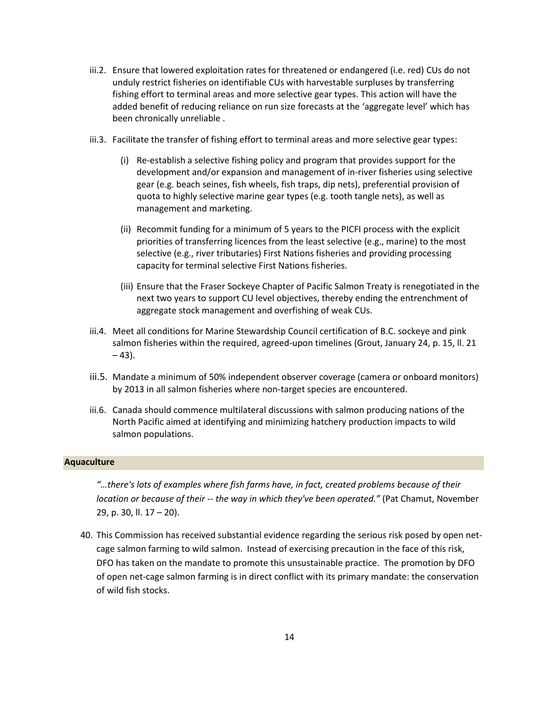- iii.2. Ensure that lowered exploitation rates for threatened or endangered (i.e. red) CUs do not unduly restrict fisheries on identifiable CUs with harvestable surpluses by transferring fishing effort to terminal areas and more selective gear types. This action will have the added benefit of reducing reliance on run size forecasts at the 'aggregate level' which has been chronically unreliable .
- iii.3. Facilitate the transfer of fishing effort to terminal areas and more selective gear types:
	- (i) Re-establish a selective fishing policy and program that provides support for the development and/or expansion and management of in-river fisheries using selective gear (e.g. beach seines, fish wheels, fish traps, dip nets), preferential provision of quota to highly selective marine gear types (e.g. tooth tangle nets), as well as management and marketing.
	- (ii) Recommit funding for a minimum of 5 years to the PICFI process with the explicit priorities of transferring licences from the least selective (e.g., marine) to the most selective (e.g., river tributaries) First Nations fisheries and providing processing capacity for terminal selective First Nations fisheries.
	- (iii) Ensure that the Fraser Sockeye Chapter of Pacific Salmon Treaty is renegotiated in the next two years to support CU level objectives, thereby ending the entrenchment of aggregate stock management and overfishing of weak CUs.
- iii.4. Meet all conditions for Marine Stewardship Council certification of B.C. sockeye and pink salmon fisheries within the required, agreed-upon timelines (Grout, January 24, p. 15, ll. 21  $-43$ ).
- iii.5. Mandate a minimum of 50% independent observer coverage (camera or onboard monitors) by 2013 in all salmon fisheries where non-target species are encountered.
- iii.6. Canada should commence multilateral discussions with salmon producing nations of the North Pacific aimed at identifying and minimizing hatchery production impacts to wild salmon populations.

#### <span id="page-13-0"></span>**Aquaculture**

*"…there's lots of examples where fish farms have, in fact, created problems because of their location or because of their -- the way in which they've been operated."* (Pat Chamut, November 29, p. 30, ll. 17 – 20).

40. This Commission has received substantial evidence regarding the serious risk posed by open netcage salmon farming to wild salmon. Instead of exercising precaution in the face of this risk, DFO has taken on the mandate to promote this unsustainable practice. The promotion by DFO of open net-cage salmon farming is in direct conflict with its primary mandate: the conservation of wild fish stocks.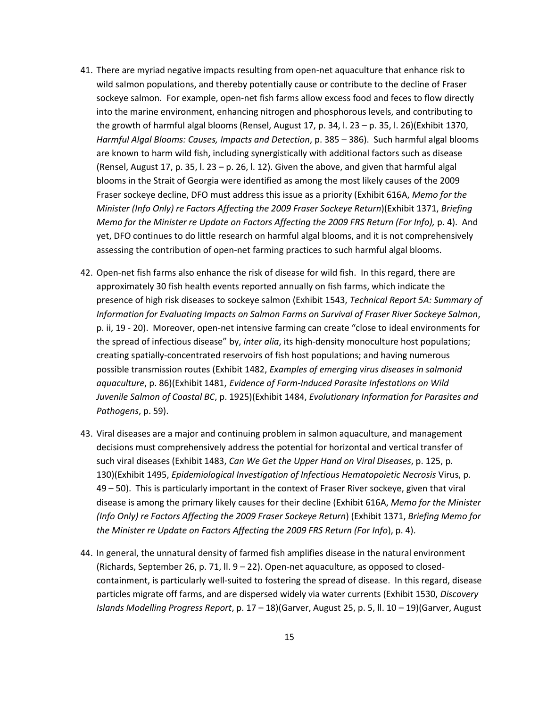- 41. There are myriad negative impacts resulting from open-net aquaculture that enhance risk to wild salmon populations, and thereby potentially cause or contribute to the decline of Fraser sockeye salmon. For example, open-net fish farms allow excess food and feces to flow directly into the marine environment, enhancing nitrogen and phosphorous levels, and contributing to the growth of harmful algal blooms (Rensel, August 17, p. 34, l. 23 – p. 35, l. 26)(Exhibit 1370, *Harmful Algal Blooms: Causes, Impacts and Detection*, p. 385 – 386). Such harmful algal blooms are known to harm wild fish, including synergistically with additional factors such as disease (Rensel, August 17, p. 35, l. 23 – p. 26, l. 12). Given the above, and given that harmful algal blooms in the Strait of Georgia were identified as among the most likely causes of the 2009 Fraser sockeye decline, DFO must address this issue as a priority (Exhibit 616A, *Memo for the Minister (Info Only) re Factors Affecting the 2009 Fraser Sockeye Return*)(Exhibit 1371, *Briefing Memo for the Minister re Update on Factors Affecting the 2009 FRS Return (For Info), p. 4). And* yet, DFO continues to do little research on harmful algal blooms, and it is not comprehensively assessing the contribution of open-net farming practices to such harmful algal blooms.
- 42. Open-net fish farms also enhance the risk of disease for wild fish. In this regard, there are approximately 30 fish health events reported annually on fish farms, which indicate the presence of high risk diseases to sockeye salmon (Exhibit 1543, *Technical Report 5A: Summary of Information for Evaluating Impacts on Salmon Farms on Survival of Fraser River Sockeye Salmon*, p. ii, 19 - 20). Moreover, open-net intensive farming can create "close to ideal environments for the spread of infectious disease" by, *inter alia*, its high-density monoculture host populations; creating spatially-concentrated reservoirs of fish host populations; and having numerous possible transmission routes (Exhibit 1482, *Examples of emerging virus diseases in salmonid aquaculture*, p. 86)(Exhibit 1481, *Evidence of Farm-Induced Parasite Infestations on Wild Juvenile Salmon of Coastal BC*, p. 1925)(Exhibit 1484, *Evolutionary Information for Parasites and Pathogens*, p. 59).
- 43. Viral diseases are a major and continuing problem in salmon aquaculture, and management decisions must comprehensively address the potential for horizontal and vertical transfer of such viral diseases (Exhibit 1483, *Can We Get the Upper Hand on Viral Diseases*, p. 125, p. 130)(Exhibit 1495, *Epidemiological Investigation of Infectious Hematopoietic Necrosis* Virus, p. 49 – 50). This is particularly important in the context of Fraser River sockeye, given that viral disease is among the primary likely causes for their decline (Exhibit 616A, *Memo for the Minister (Info Only) re Factors Affecting the 2009 Fraser Sockeye Return*) (Exhibit 1371, *Briefing Memo for the Minister re Update on Factors Affecting the 2009 FRS Return (For Info*), p. 4).
- 44. In general, the unnatural density of farmed fish amplifies disease in the natural environment (Richards, September 26, p. 71, ll. 9 – 22). Open-net aquaculture, as opposed to closedcontainment, is particularly well-suited to fostering the spread of disease. In this regard, disease particles migrate off farms, and are dispersed widely via water currents (Exhibit 1530, *Discovery Islands Modelling Progress Report*, p. 17 – 18)(Garver, August 25, p. 5, ll. 10 – 19)(Garver, August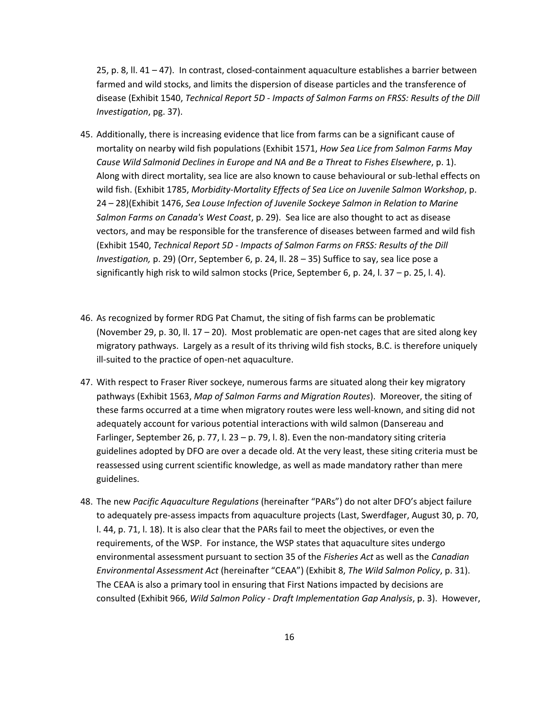25, p. 8, ll. 41 – 47). In contrast, closed-containment aquaculture establishes a barrier between farmed and wild stocks, and limits the dispersion of disease particles and the transference of disease (Exhibit 1540, *Technical Report 5D - Impacts of Salmon Farms on FRSS: Results of the Dill Investigation*, pg. 37).

- 45. Additionally, there is increasing evidence that lice from farms can be a significant cause of mortality on nearby wild fish populations (Exhibit 1571, *How Sea Lice from Salmon Farms May Cause Wild Salmonid Declines in Europe and NA and Be a Threat to Fishes Elsewhere*, p. 1). Along with direct mortality, sea lice are also known to cause behavioural or sub-lethal effects on wild fish. (Exhibit 1785, *Morbidity-Mortality Effects of Sea Lice on Juvenile Salmon Workshop*, p. 24 – 28)(Exhibit 1476, *Sea Louse Infection of Juvenile Sockeye Salmon in Relation to Marine Salmon Farms on Canada's West Coast*, p. 29). Sea lice are also thought to act as disease vectors, and may be responsible for the transference of diseases between farmed and wild fish (Exhibit 1540, *Technical Report 5D - Impacts of Salmon Farms on FRSS: Results of the Dill Investigation,* p. 29) (Orr, September 6, p. 24, ll. 28 – 35) Suffice to say, sea lice pose a significantly high risk to wild salmon stocks (Price, September 6, p. 24, l. 37 – p. 25, l. 4).
- 46. As recognized by former RDG Pat Chamut, the siting of fish farms can be problematic (November 29, p. 30, ll. 17 – 20). Most problematic are open-net cages that are sited along key migratory pathways. Largely as a result of its thriving wild fish stocks, B.C. is therefore uniquely ill-suited to the practice of open-net aquaculture.
- 47. With respect to Fraser River sockeye, numerous farms are situated along their key migratory pathways (Exhibit 1563, *Map of Salmon Farms and Migration Routes*). Moreover, the siting of these farms occurred at a time when migratory routes were less well-known, and siting did not adequately account for various potential interactions with wild salmon (Dansereau and Farlinger, September 26, p. 77, l. 23 – p. 79, l. 8). Even the non-mandatory siting criteria guidelines adopted by DFO are over a decade old. At the very least, these siting criteria must be reassessed using current scientific knowledge, as well as made mandatory rather than mere guidelines.
- 48. The new *Pacific Aquaculture Regulations* (hereinafter "PARs") do not alter DFO's abject failure to adequately pre-assess impacts from aquaculture projects (Last, Swerdfager, August 30, p. 70, l. 44, p. 71, l. 18). It is also clear that the PARs fail to meet the objectives, or even the requirements, of the WSP. For instance, the WSP states that aquaculture sites undergo environmental assessment pursuant to section 35 of the *Fisheries Act* as well as the *Canadian Environmental Assessment Act* (hereinafter "CEAA") (Exhibit 8, *The Wild Salmon Policy*, p. 31). The CEAA is also a primary tool in ensuring that First Nations impacted by decisions are consulted (Exhibit 966, *Wild Salmon Policy - Draft Implementation Gap Analysis*, p. 3). However,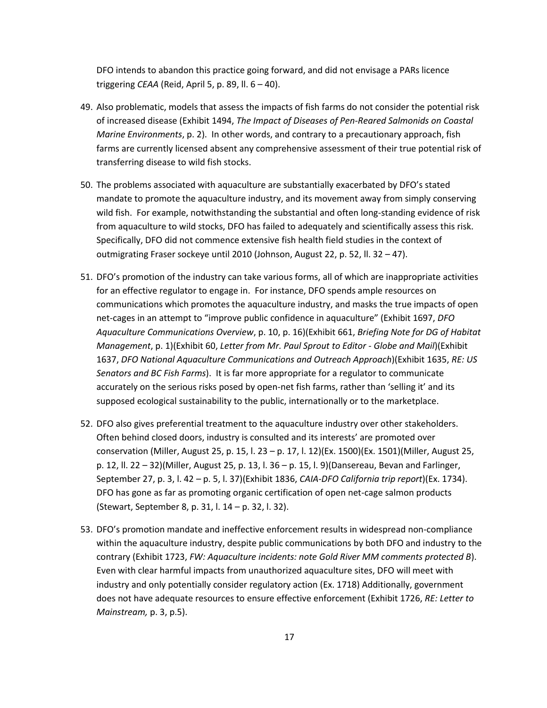DFO intends to abandon this practice going forward, and did not envisage a PARs licence triggering *CEAA* (Reid, April 5, p. 89, ll. 6 – 40).

- 49. Also problematic, models that assess the impacts of fish farms do not consider the potential risk of increased disease (Exhibit 1494, *The Impact of Diseases of Pen-Reared Salmonids on Coastal Marine Environments*, p. 2). In other words, and contrary to a precautionary approach, fish farms are currently licensed absent any comprehensive assessment of their true potential risk of transferring disease to wild fish stocks.
- 50. The problems associated with aquaculture are substantially exacerbated by DFO's stated mandate to promote the aquaculture industry, and its movement away from simply conserving wild fish. For example, notwithstanding the substantial and often long-standing evidence of risk from aquaculture to wild stocks, DFO has failed to adequately and scientifically assess this risk. Specifically, DFO did not commence extensive fish health field studies in the context of outmigrating Fraser sockeye until 2010 (Johnson, August 22, p. 52, ll. 32 – 47).
- 51. DFO's promotion of the industry can take various forms, all of which are inappropriate activities for an effective regulator to engage in. For instance, DFO spends ample resources on communications which promotes the aquaculture industry, and masks the true impacts of open net-cages in an attempt to "improve public confidence in aquaculture" (Exhibit 1697, *DFO Aquaculture Communications Overview*, p. 10, p. 16)(Exhibit 661, *Briefing Note for DG of Habitat Management*, p. 1)(Exhibit 60, *Letter from Mr. Paul Sprout to Editor - Globe and Mail*)(Exhibit 1637, *DFO National Aquaculture Communications and Outreach Approach*)(Exhibit 1635, *RE: US Senators and BC Fish Farms*). It is far more appropriate for a regulator to communicate accurately on the serious risks posed by open-net fish farms, rather than 'selling it' and its supposed ecological sustainability to the public, internationally or to the marketplace.
- 52. DFO also gives preferential treatment to the aquaculture industry over other stakeholders. Often behind closed doors, industry is consulted and its interests' are promoted over conservation (Miller, August 25, p. 15, l. 23 – p. 17, l. 12)(Ex. 1500)(Ex. 1501)(Miller, August 25, p. 12, ll. 22 – 32)(Miller, August 25, p. 13, l. 36 – p. 15, l. 9)(Dansereau, Bevan and Farlinger, September 27, p. 3, l. 42 – p. 5, l. 37)(Exhibit 1836, *CAIA-DFO California trip report*)(Ex. 1734). DFO has gone as far as promoting organic certification of open net-cage salmon products (Stewart, September 8, p. 31, l. 14 – p. 32, l. 32).
- 53. DFO's promotion mandate and ineffective enforcement results in widespread non-compliance within the aquaculture industry, despite public communications by both DFO and industry to the contrary (Exhibit 1723, *FW: Aquaculture incidents: note Gold River MM comments protected B*). Even with clear harmful impacts from unauthorized aquaculture sites, DFO will meet with industry and only potentially consider regulatory action (Ex. 1718) Additionally, government does not have adequate resources to ensure effective enforcement (Exhibit 1726, *RE: Letter to Mainstream,* p. 3, p.5).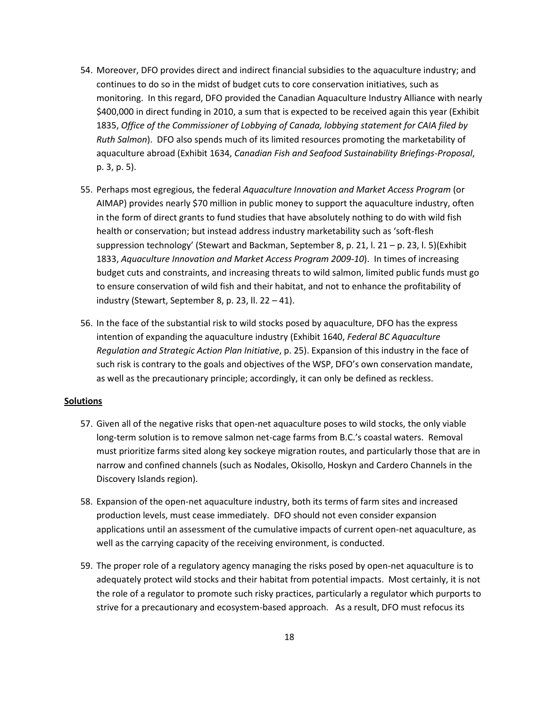- 54. Moreover, DFO provides direct and indirect financial subsidies to the aquaculture industry; and continues to do so in the midst of budget cuts to core conservation initiatives, such as monitoring. In this regard, DFO provided the Canadian Aquaculture Industry Alliance with nearly \$400,000 in direct funding in 2010, a sum that is expected to be received again this year (Exhibit 1835, *Office of the Commissioner of Lobbying of Canada, lobbying statement for CAIA filed by Ruth Salmon*). DFO also spends much of its limited resources promoting the marketability of aquaculture abroad (Exhibit 1634, *Canadian Fish and Seafood Sustainability Briefings-Proposal*, p. 3, p. 5).
- 55. Perhaps most egregious, the federal *Aquaculture Innovation and Market Access Program* (or AIMAP) provides nearly \$70 million in public money to support the aquaculture industry, often in the form of direct grants to fund studies that have absolutely nothing to do with wild fish health or conservation; but instead address industry marketability such as 'soft-flesh suppression technology' (Stewart and Backman, September 8, p. 21, l. 21 – p. 23, l. 5)(Exhibit 1833, *Aquaculture Innovation and Market Access Program 2009-10*). In times of increasing budget cuts and constraints, and increasing threats to wild salmon, limited public funds must go to ensure conservation of wild fish and their habitat, and not to enhance the profitability of industry (Stewart, September 8, p. 23, ll. 22 – 41).
- 56. In the face of the substantial risk to wild stocks posed by aquaculture, DFO has the express intention of expanding the aquaculture industry (Exhibit 1640, *Federal BC Aquaculture Regulation and Strategic Action Plan Initiative*, p. 25). Expansion of this industry in the face of such risk is contrary to the goals and objectives of the WSP, DFO's own conservation mandate, as well as the precautionary principle; accordingly, it can only be defined as reckless.

#### **Solutions**

- 57. Given all of the negative risks that open-net aquaculture poses to wild stocks, the only viable long-term solution is to remove salmon net-cage farms from B.C.'s coastal waters. Removal must prioritize farms sited along key sockeye migration routes, and particularly those that are in narrow and confined channels (such as Nodales, Okisollo, Hoskyn and Cardero Channels in the Discovery Islands region).
- 58. Expansion of the open-net aquaculture industry, both its terms of farm sites and increased production levels, must cease immediately. DFO should not even consider expansion applications until an assessment of the cumulative impacts of current open-net aquaculture, as well as the carrying capacity of the receiving environment, is conducted.
- 59. The proper role of a regulatory agency managing the risks posed by open-net aquaculture is to adequately protect wild stocks and their habitat from potential impacts. Most certainly, it is not the role of a regulator to promote such risky practices, particularly a regulator which purports to strive for a precautionary and ecosystem-based approach. As a result, DFO must refocus its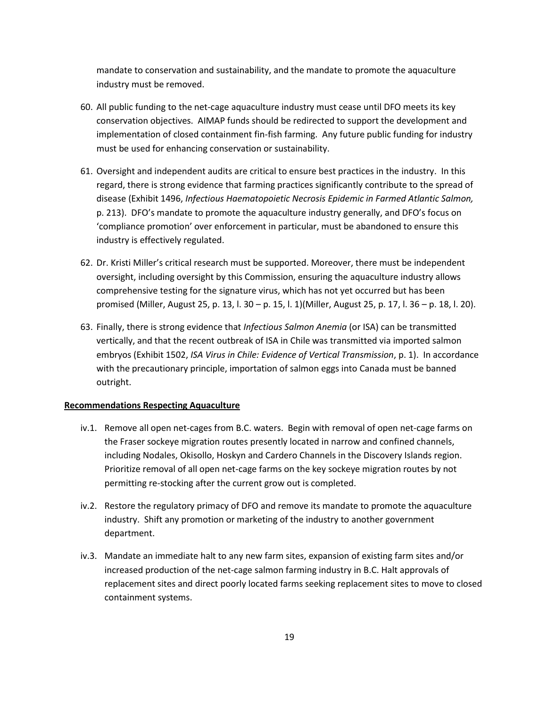mandate to conservation and sustainability, and the mandate to promote the aquaculture industry must be removed.

- 60. All public funding to the net-cage aquaculture industry must cease until DFO meets its key conservation objectives. AIMAP funds should be redirected to support the development and implementation of closed containment fin-fish farming. Any future public funding for industry must be used for enhancing conservation or sustainability.
- 61. Oversight and independent audits are critical to ensure best practices in the industry. In this regard, there is strong evidence that farming practices significantly contribute to the spread of disease (Exhibit 1496, *Infectious Haematopoietic Necrosis Epidemic in Farmed Atlantic Salmon,* p. 213). DFO's mandate to promote the aquaculture industry generally, and DFO's focus on 'compliance promotion' over enforcement in particular, must be abandoned to ensure this industry is effectively regulated.
- 62. Dr. Kristi Miller's critical research must be supported. Moreover, there must be independent oversight, including oversight by this Commission, ensuring the aquaculture industry allows comprehensive testing for the signature virus, which has not yet occurred but has been promised (Miller, August 25, p. 13, l. 30 – p. 15, l. 1)(Miller, August 25, p. 17, l. 36 – p. 18, l. 20).
- 63. Finally, there is strong evidence that *Infectious Salmon Anemia* (or ISA) can be transmitted vertically, and that the recent outbreak of ISA in Chile was transmitted via imported salmon embryos (Exhibit 1502, *ISA Virus in Chile: Evidence of Vertical Transmission*, p. 1). In accordance with the precautionary principle, importation of salmon eggs into Canada must be banned outright.

# **Recommendations Respecting Aquaculture**

- iv.1. Remove all open net-cages from B.C. waters. Begin with removal of open net-cage farms on the Fraser sockeye migration routes presently located in narrow and confined channels, including Nodales, Okisollo, Hoskyn and Cardero Channels in the Discovery Islands region. Prioritize removal of all open net-cage farms on the key sockeye migration routes by not permitting re-stocking after the current grow out is completed.
- iv.2. Restore the regulatory primacy of DFO and remove its mandate to promote the aquaculture industry. Shift any promotion or marketing of the industry to another government department.
- iv.3. Mandate an immediate halt to any new farm sites, expansion of existing farm sites and/or increased production of the net-cage salmon farming industry in B.C. Halt approvals of replacement sites and direct poorly located farms seeking replacement sites to move to closed containment systems.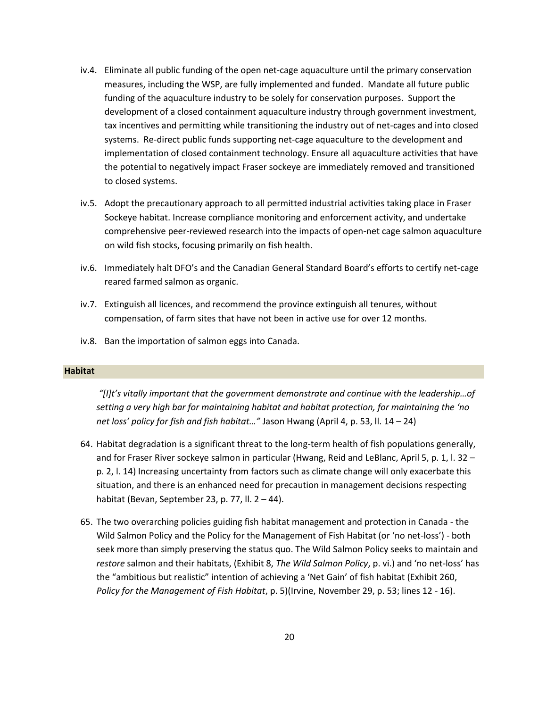- iv.4. Eliminate all public funding of the open net-cage aquaculture until the primary conservation measures, including the WSP, are fully implemented and funded. Mandate all future public funding of the aquaculture industry to be solely for conservation purposes. Support the development of a closed containment aquaculture industry through government investment, tax incentives and permitting while transitioning the industry out of net-cages and into closed systems. Re-direct public funds supporting net-cage aquaculture to the development and implementation of closed containment technology. Ensure all aquaculture activities that have the potential to negatively impact Fraser sockeye are immediately removed and transitioned to closed systems.
- iv.5. Adopt the precautionary approach to all permitted industrial activities taking place in Fraser Sockeye habitat. Increase compliance monitoring and enforcement activity, and undertake comprehensive peer-reviewed research into the impacts of open-net cage salmon aquaculture on wild fish stocks, focusing primarily on fish health.
- iv.6. Immediately halt DFO's and the Canadian General Standard Board's efforts to certify net-cage reared farmed salmon as organic.
- iv.7. Extinguish all licences, and recommend the province extinguish all tenures, without compensation, of farm sites that have not been in active use for over 12 months.
- iv.8. Ban the importation of salmon eggs into Canada.

#### <span id="page-19-0"></span>**Habitat**

*"\*I+t's vitally important that the government demonstrate and continue with the leadership…of setting a very high bar for maintaining habitat and habitat protection, for maintaining the 'no net loss' policy for fish and fish habitat…"* Jason Hwang (April 4, p. 53, ll. 14 – 24)

- 64. Habitat degradation is a significant threat to the long-term health of fish populations generally, and for Fraser River sockeye salmon in particular (Hwang, Reid and LeBlanc, April 5, p. 1, l. 32 – p. 2, l. 14) Increasing uncertainty from factors such as climate change will only exacerbate this situation, and there is an enhanced need for precaution in management decisions respecting habitat (Bevan, September 23, p. 77, ll. 2 – 44).
- 65. The two overarching policies guiding fish habitat management and protection in Canada the Wild Salmon Policy and the Policy for the Management of Fish Habitat (or 'no net-loss') - both seek more than simply preserving the status quo. The Wild Salmon Policy seeks to maintain and *restore* salmon and their habitats, (Exhibit 8, *The Wild Salmon Policy*, p. vi.) and 'no net-loss' has the "ambitious but realistic" intention of achieving a 'Net Gain' of fish habitat (Exhibit 260, *Policy for the Management of Fish Habitat*, p. 5)(Irvine, November 29, p. 53; lines 12 - 16).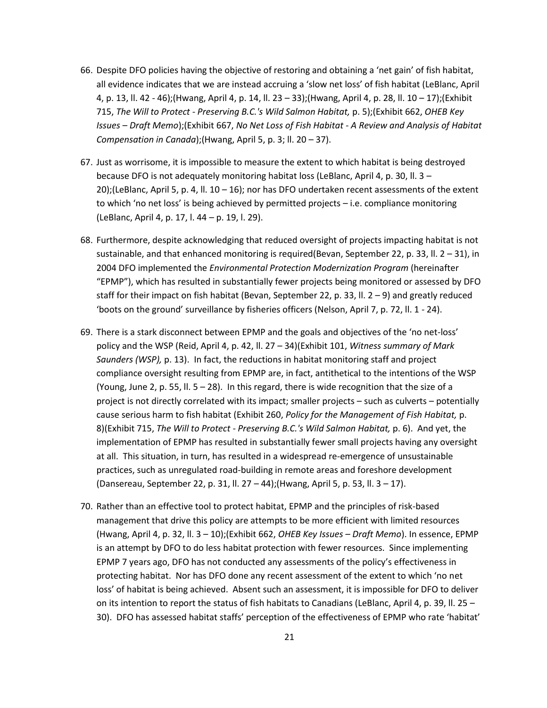- 66. Despite DFO policies having the objective of restoring and obtaining a 'net gain' of fish habitat, all evidence indicates that we are instead accruing a 'slow net loss' of fish habitat (LeBlanc, April 4, p. 13, ll. 42 - 46);(Hwang, April 4, p. 14, ll. 23 – 33);(Hwang, April 4, p. 28, ll. 10 – 17);(Exhibit 715, *The Will to Protect - Preserving B.C.'s Wild Salmon Habitat,* p. 5);(Exhibit 662, *OHEB Key Issues – Draft Memo*);(Exhibit 667, *No Net Loss of Fish Habitat - A Review and Analysis of Habitat Compensation in Canada*);(Hwang, April 5, p. 3; ll. 20 – 37).
- 67. Just as worrisome, it is impossible to measure the extent to which habitat is being destroyed because DFO is not adequately monitoring habitat loss (LeBlanc, April 4, p. 30, ll. 3 – 20);(LeBlanc, April 5, p. 4, ll. 10 – 16); nor has DFO undertaken recent assessments of the extent to which 'no net loss' is being achieved by permitted projects – i.e. compliance monitoring (LeBlanc, April 4, p. 17, l. 44 – p. 19, l. 29).
- 68. Furthermore, despite acknowledging that reduced oversight of projects impacting habitat is not sustainable, and that enhanced monitoring is required(Bevan, September 22, p. 33, II.  $2 - 31$ ), in 2004 DFO implemented the *Environmental Protection Modernization Program* (hereinafter "EPMP"), which has resulted in substantially fewer projects being monitored or assessed by DFO staff for their impact on fish habitat (Bevan, September 22, p. 33, II.  $2 - 9$ ) and greatly reduced 'boots on the ground' surveillance by fisheries officers (Nelson, April 7, p. 72, ll. 1 - 24).
- 69. There is a stark disconnect between EPMP and the goals and objectives of the 'no net-loss' policy and the WSP (Reid, April 4, p. 42, ll. 27 – 34)(Exhibit 101, *Witness summary of Mark Saunders (WSP),* p. 13). In fact, the reductions in habitat monitoring staff and project compliance oversight resulting from EPMP are, in fact, antithetical to the intentions of the WSP (Young, June 2, p. 55, II.  $5 - 28$ ). In this regard, there is wide recognition that the size of a project is not directly correlated with its impact; smaller projects – such as culverts – potentially cause serious harm to fish habitat (Exhibit 260, *Policy for the Management of Fish Habitat,* p. 8)(Exhibit 715, *The Will to Protect - Preserving B.C.'s Wild Salmon Habitat,* p. 6). And yet, the implementation of EPMP has resulted in substantially fewer small projects having any oversight at all. This situation, in turn, has resulted in a widespread re-emergence of unsustainable practices, such as unregulated road-building in remote areas and foreshore development (Dansereau, September 22, p. 31, ll. 27 – 44);(Hwang, April 5, p. 53, ll. 3 – 17).
- 70. Rather than an effective tool to protect habitat, EPMP and the principles of risk-based management that drive this policy are attempts to be more efficient with limited resources (Hwang, April 4, p. 32, ll. 3 – 10);(Exhibit 662, *OHEB Key Issues – Draft Memo*). In essence, EPMP is an attempt by DFO to do less habitat protection with fewer resources. Since implementing EPMP 7 years ago, DFO has not conducted any assessments of the policy's effectiveness in protecting habitat. Nor has DFO done any recent assessment of the extent to which 'no net loss' of habitat is being achieved. Absent such an assessment, it is impossible for DFO to deliver on its intention to report the status of fish habitats to Canadians (LeBlanc, April 4, p. 39, ll. 25 – 30). DFO has assessed habitat staffs' perception of the effectiveness of EPMP who rate 'habitat'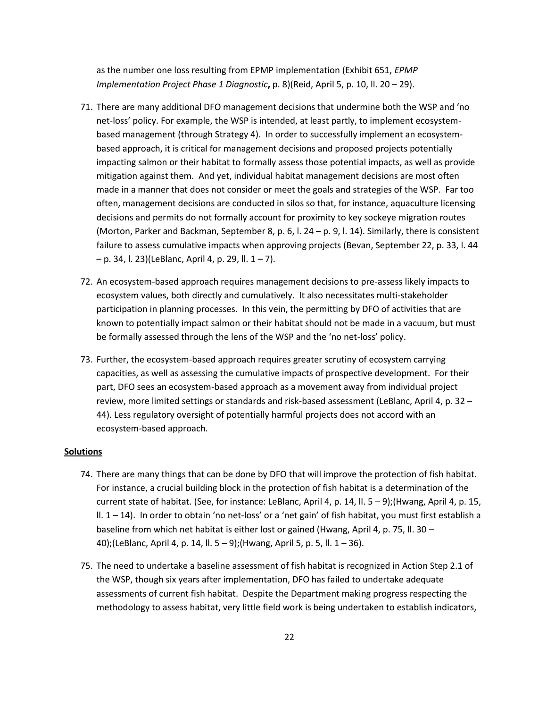as the number one loss resulting from EPMP implementation (Exhibit 651, *EPMP Implementation Project Phase 1 Diagnostic*, p. 8)(Reid, April 5, p. 10, ll. 20 – 29).

- 71. There are many additional DFO management decisions that undermine both the WSP and 'no net-loss' policy. For example, the WSP is intended, at least partly, to implement ecosystembased management (through Strategy 4). In order to successfully implement an ecosystembased approach, it is critical for management decisions and proposed projects potentially impacting salmon or their habitat to formally assess those potential impacts, as well as provide mitigation against them. And yet, individual habitat management decisions are most often made in a manner that does not consider or meet the goals and strategies of the WSP. Far too often, management decisions are conducted in silos so that, for instance, aquaculture licensing decisions and permits do not formally account for proximity to key sockeye migration routes (Morton, Parker and Backman, September 8, p. 6, l. 24 – p. 9, l. 14). Similarly, there is consistent failure to assess cumulative impacts when approving projects (Bevan, September 22, p. 33, l. 44  $-$  p. 34, l. 23)(LeBlanc, April 4, p. 29, ll.  $1 - 7$ ).
- 72. An ecosystem-based approach requires management decisions to pre-assess likely impacts to ecosystem values, both directly and cumulatively. It also necessitates multi-stakeholder participation in planning processes. In this vein, the permitting by DFO of activities that are known to potentially impact salmon or their habitat should not be made in a vacuum, but must be formally assessed through the lens of the WSP and the 'no net-loss' policy.
- 73. Further, the ecosystem-based approach requires greater scrutiny of ecosystem carrying capacities, as well as assessing the cumulative impacts of prospective development. For their part, DFO sees an ecosystem-based approach as a movement away from individual project review, more limited settings or standards and risk-based assessment (LeBlanc, April 4, p. 32 – 44). Less regulatory oversight of potentially harmful projects does not accord with an ecosystem-based approach.

# **Solutions**

- 74. There are many things that can be done by DFO that will improve the protection of fish habitat. For instance, a crucial building block in the protection of fish habitat is a determination of the current state of habitat. (See, for instance: LeBlanc, April 4, p. 14, ll. 5 – 9);(Hwang, April 4, p. 15, ll. 1 – 14). In order to obtain 'no net-loss' or a 'net gain' of fish habitat, you must first establish a baseline from which net habitat is either lost or gained (Hwang, April 4, p. 75, ll. 30 – 40);(LeBlanc, April 4, p. 14, ll. 5 – 9);(Hwang, April 5, p. 5, ll. 1 – 36).
- 75. The need to undertake a baseline assessment of fish habitat is recognized in Action Step 2.1 of the WSP, though six years after implementation, DFO has failed to undertake adequate assessments of current fish habitat. Despite the Department making progress respecting the methodology to assess habitat, very little field work is being undertaken to establish indicators,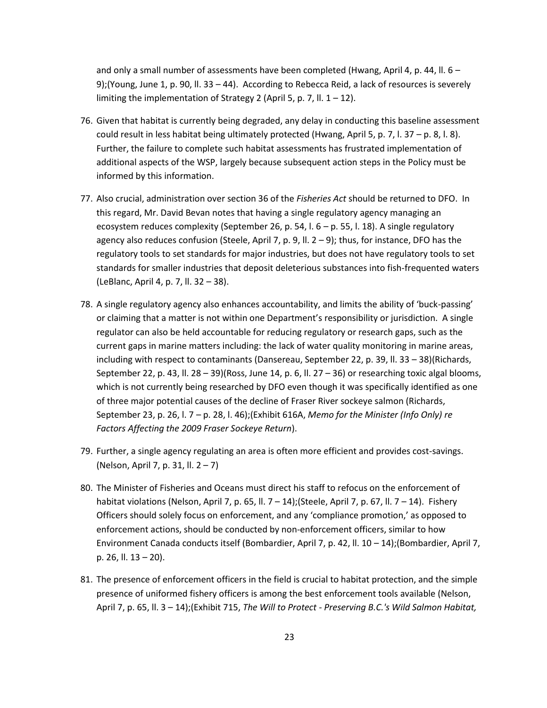and only a small number of assessments have been completed (Hwang, April 4, p. 44, ll.  $6 -$ 9);(Young, June 1, p. 90, ll. 33 – 44). According to Rebecca Reid, a lack of resources is severely limiting the implementation of Strategy 2 (April 5, p. 7, ll.  $1 - 12$ ).

- 76. Given that habitat is currently being degraded, any delay in conducting this baseline assessment could result in less habitat being ultimately protected (Hwang, April 5, p. 7, l. 37 – p. 8, l. 8). Further, the failure to complete such habitat assessments has frustrated implementation of additional aspects of the WSP, largely because subsequent action steps in the Policy must be informed by this information.
- 77. Also crucial, administration over section 36 of the *Fisheries Act* should be returned to DFO. In this regard, Mr. David Bevan notes that having a single regulatory agency managing an ecosystem reduces complexity (September 26, p. 54, l. 6 – p. 55, l. 18). A single regulatory agency also reduces confusion (Steele, April 7, p. 9, ll.  $2 - 9$ ); thus, for instance, DFO has the regulatory tools to set standards for major industries, but does not have regulatory tools to set standards for smaller industries that deposit deleterious substances into fish-frequented waters (LeBlanc, April 4, p. 7, ll. 32 – 38).
- 78. A single regulatory agency also enhances accountability, and limits the ability of 'buck-passing' or claiming that a matter is not within one Department's responsibility or jurisdiction. A single regulator can also be held accountable for reducing regulatory or research gaps, such as the current gaps in marine matters including: the lack of water quality monitoring in marine areas, including with respect to contaminants (Dansereau, September 22, p. 39, ll. 33 – 38)(Richards, September 22, p. 43, ll. 28 – 39)(Ross, June 14, p. 6, ll. 27 – 36) or researching toxic algal blooms, which is not currently being researched by DFO even though it was specifically identified as one of three major potential causes of the decline of Fraser River sockeye salmon (Richards, September 23, p. 26, l. 7 – p. 28, l. 46);(Exhibit 616A, *Memo for the Minister (Info Only) re Factors Affecting the 2009 Fraser Sockeye Return*).
- 79. Further, a single agency regulating an area is often more efficient and provides cost-savings. (Nelson, April 7, p. 31, ll. 2 – 7)
- 80. The Minister of Fisheries and Oceans must direct his staff to refocus on the enforcement of habitat violations (Nelson, April 7, p. 65, ll. 7 – 14);(Steele, April 7, p. 67, ll. 7 – 14). Fishery Officers should solely focus on enforcement, and any 'compliance promotion,' as opposed to enforcement actions, should be conducted by non-enforcement officers, similar to how Environment Canada conducts itself (Bombardier, April 7, p. 42, ll. 10 – 14);(Bombardier, April 7, p. 26, ll. 13 – 20).
- 81. The presence of enforcement officers in the field is crucial to habitat protection, and the simple presence of uniformed fishery officers is among the best enforcement tools available (Nelson, April 7, p. 65, ll. 3 – 14);(Exhibit 715, *The Will to Protect - Preserving B.C.'s Wild Salmon Habitat,*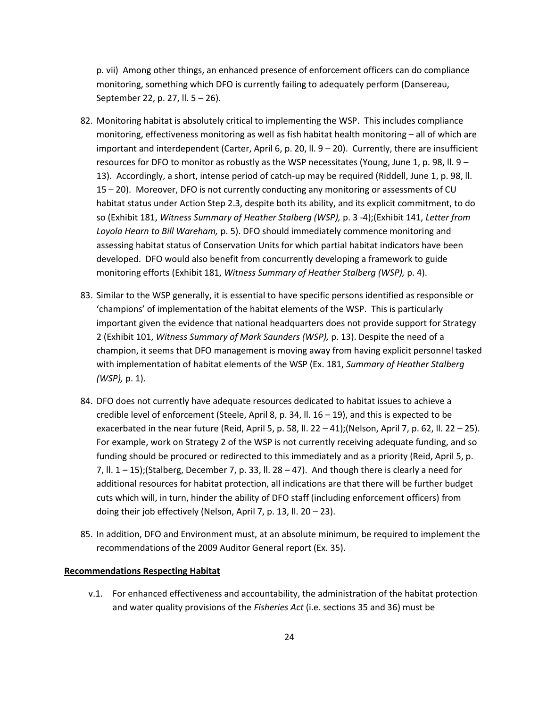p. vii) Among other things, an enhanced presence of enforcement officers can do compliance monitoring, something which DFO is currently failing to adequately perform (Dansereau, September 22, p. 27, ll. 5 – 26).

- 82. Monitoring habitat is absolutely critical to implementing the WSP. This includes compliance monitoring, effectiveness monitoring as well as fish habitat health monitoring – all of which are important and interdependent (Carter, April 6, p. 20, II.  $9 - 20$ ). Currently, there are insufficient resources for DFO to monitor as robustly as the WSP necessitates (Young, June 1, p. 98, II.  $9 -$ 13). Accordingly, a short, intense period of catch-up may be required (Riddell, June 1, p. 98, ll. 15 – 20). Moreover, DFO is not currently conducting any monitoring or assessments of CU habitat status under Action Step 2.3, despite both its ability, and its explicit commitment, to do so (Exhibit 181, *Witness Summary of Heather Stalberg (WSP),* p. 3 -4);(Exhibit 141, *Letter from Loyola Hearn to Bill Wareham,* p. 5). DFO should immediately commence monitoring and assessing habitat status of Conservation Units for which partial habitat indicators have been developed. DFO would also benefit from concurrently developing a framework to guide monitoring efforts (Exhibit 181, *Witness Summary of Heather Stalberg (WSP),* p. 4).
- 83. Similar to the WSP generally, it is essential to have specific persons identified as responsible or 'champions' of implementation of the habitat elements of the WSP. This is particularly important given the evidence that national headquarters does not provide support for Strategy 2 (Exhibit 101, *Witness Summary of Mark Saunders (WSP),* p. 13). Despite the need of a champion, it seems that DFO management is moving away from having explicit personnel tasked with implementation of habitat elements of the WSP (Ex. 181, *Summary of Heather Stalberg (WSP),* p. 1).
- 84. DFO does not currently have adequate resources dedicated to habitat issues to achieve a credible level of enforcement (Steele, April 8, p. 34, II.  $16 - 19$ ), and this is expected to be exacerbated in the near future (Reid, April 5, p. 58, ll. 22 – 41); (Nelson, April 7, p. 62, ll. 22 – 25). For example, work on Strategy 2 of the WSP is not currently receiving adequate funding, and so funding should be procured or redirected to this immediately and as a priority (Reid, April 5, p. 7, II.  $1 - 15$ ); (Stalberg, December 7, p. 33, II. 28 – 47). And though there is clearly a need for additional resources for habitat protection, all indications are that there will be further budget cuts which will, in turn, hinder the ability of DFO staff (including enforcement officers) from doing their job effectively (Nelson, April 7, p. 13, ll. 20 – 23).
- 85. In addition, DFO and Environment must, at an absolute minimum, be required to implement the recommendations of the 2009 Auditor General report (Ex. 35).

#### **Recommendations Respecting Habitat**

v.1. For enhanced effectiveness and accountability, the administration of the habitat protection and water quality provisions of the *Fisheries Act* (i.e. sections 35 and 36) must be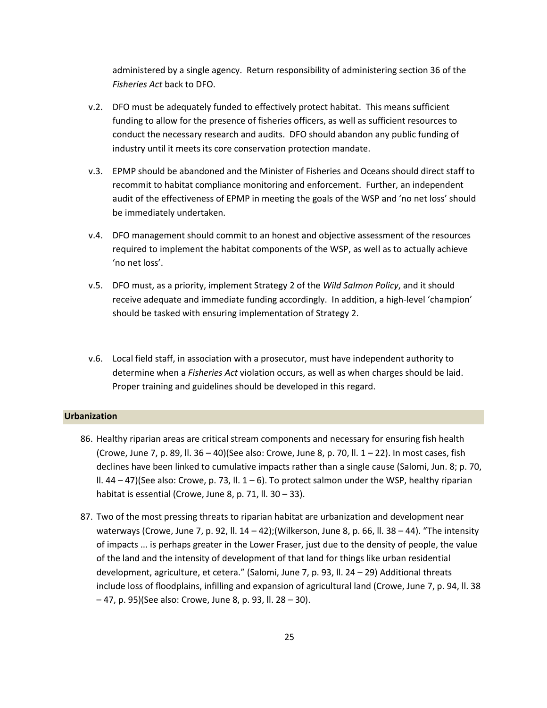administered by a single agency. Return responsibility of administering section 36 of the *Fisheries Act* back to DFO.

- v.2. DFO must be adequately funded to effectively protect habitat. This means sufficient funding to allow for the presence of fisheries officers, as well as sufficient resources to conduct the necessary research and audits. DFO should abandon any public funding of industry until it meets its core conservation protection mandate.
- v.3. EPMP should be abandoned and the Minister of Fisheries and Oceans should direct staff to recommit to habitat compliance monitoring and enforcement. Further, an independent audit of the effectiveness of EPMP in meeting the goals of the WSP and 'no net loss' should be immediately undertaken.
- v.4. DFO management should commit to an honest and objective assessment of the resources required to implement the habitat components of the WSP, as well as to actually achieve 'no net loss'.
- v.5. DFO must, as a priority, implement Strategy 2 of the *Wild Salmon Policy*, and it should receive adequate and immediate funding accordingly. In addition, a high-level 'champion' should be tasked with ensuring implementation of Strategy 2.
- v.6. Local field staff, in association with a prosecutor, must have independent authority to determine when a *Fisheries Act* violation occurs, as well as when charges should be laid. Proper training and guidelines should be developed in this regard.

#### <span id="page-24-0"></span>**Urbanization**

- 86. Healthy riparian areas are critical stream components and necessary for ensuring fish health (Crowe, June 7, p. 89, II. 36 – 40)(See also: Crowe, June 8, p. 70, II.  $1 - 22$ ). In most cases, fish declines have been linked to cumulative impacts rather than a single cause (Salomi, Jun. 8; p. 70, II.  $44 - 47$ )(See also: Crowe, p. 73, II.  $1 - 6$ ). To protect salmon under the WSP, healthy riparian habitat is essential (Crowe, June 8, p. 71, ll. 30 - 33).
- 87. Two of the most pressing threats to riparian habitat are urbanization and development near waterways (Crowe, June 7, p. 92, II.  $14 - 42$ ); (Wilkerson, June 8, p. 66, II. 38 – 44). "The intensity of impacts ... is perhaps greater in the Lower Fraser, just due to the density of people, the value of the land and the intensity of development of that land for things like urban residential development, agriculture, et cetera." (Salomi, June 7, p. 93, ll. 24 – 29) Additional threats include loss of floodplains, infilling and expansion of agricultural land (Crowe, June 7, p. 94, ll. 38 – 47, p. 95)(See also: Crowe, June 8, p. 93, ll. 28 – 30).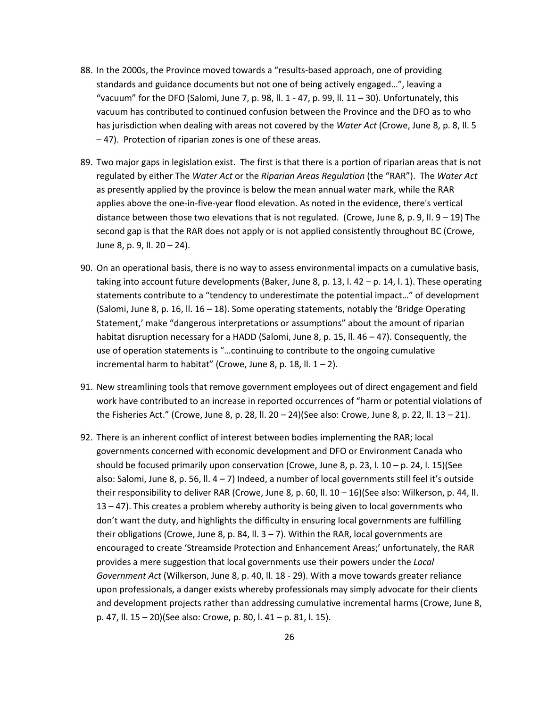- 88. In the 2000s, the Province moved towards a "results-based approach, one of providing standards and guidance documents but not one of being actively engaged…", leaving a "vacuum" for the DFO (Salomi, June 7, p. 98, ll. 1 - 47, p. 99, ll. 11 - 30). Unfortunately, this vacuum has contributed to continued confusion between the Province and the DFO as to who has jurisdiction when dealing with areas not covered by the *Water Act* (Crowe, June 8, p. 8, ll. 5 – 47). Protection of riparian zones is one of these areas.
- 89. Two major gaps in legislation exist. The first is that there is a portion of riparian areas that is not regulated by either The *Water Act* or the *Riparian Areas Regulation* (the "RAR"). The *Water Act* as presently applied by the province is below the mean annual water mark, while the RAR applies above the one-in-five-year flood elevation. As noted in the evidence, there's vertical distance between those two elevations that is not regulated. (Crowe, June 8, p. 9, ll. 9 – 19) The second gap is that the RAR does not apply or is not applied consistently throughout BC (Crowe, June 8, p. 9, ll. 20 – 24).
- 90. On an operational basis, there is no way to assess environmental impacts on a cumulative basis, taking into account future developments (Baker, June 8, p. 13, l. 42 – p. 14, l. 1). These operating statements contribute to a "tendency to underestimate the potential impact…" of development (Salomi, June 8, p. 16, II.  $16 - 18$ ). Some operating statements, notably the 'Bridge Operating Statement,' make "dangerous interpretations or assumptions" about the amount of riparian habitat disruption necessary for a HADD (Salomi, June 8, p. 15, ll. 46 – 47). Consequently, the use of operation statements is "…continuing to contribute to the ongoing cumulative incremental harm to habitat" (Crowe, June 8, p. 18, II.  $1 - 2$ ).
- 91. New streamlining tools that remove government employees out of direct engagement and field work have contributed to an increase in reported occurrences of "harm or potential violations of the Fisheries Act." (Crowe, June 8, p. 28, ll. 20 – 24)(See also: Crowe, June 8, p. 22, ll. 13 – 21).
- 92. There is an inherent conflict of interest between bodies implementing the RAR; local governments concerned with economic development and DFO or Environment Canada who should be focused primarily upon conservation (Crowe, June 8, p. 23, l.  $10 - p$ . 24, l. 15)(See also: Salomi, June 8, p. 56, ll.  $4 - 7$ ) Indeed, a number of local governments still feel it's outside their responsibility to deliver RAR (Crowe, June 8, p. 60, ll. 10 – 16)(See also: Wilkerson, p. 44, ll. 13 – 47). This creates a problem whereby authority is being given to local governments who don't want the duty, and highlights the difficulty in ensuring local governments are fulfilling their obligations (Crowe, June 8, p. 84, II.  $3 - 7$ ). Within the RAR, local governments are encouraged to create 'Streamside Protection and Enhancement Areas;' unfortunately, the RAR provides a mere suggestion that local governments use their powers under the *Local Government Act* (Wilkerson, June 8, p. 40, ll. 18 - 29). With a move towards greater reliance upon professionals, a danger exists whereby professionals may simply advocate for their clients and development projects rather than addressing cumulative incremental harms (Crowe, June 8, p. 47, ll. 15 – 20)(See also: Crowe, p. 80, l. 41 – p. 81, l. 15).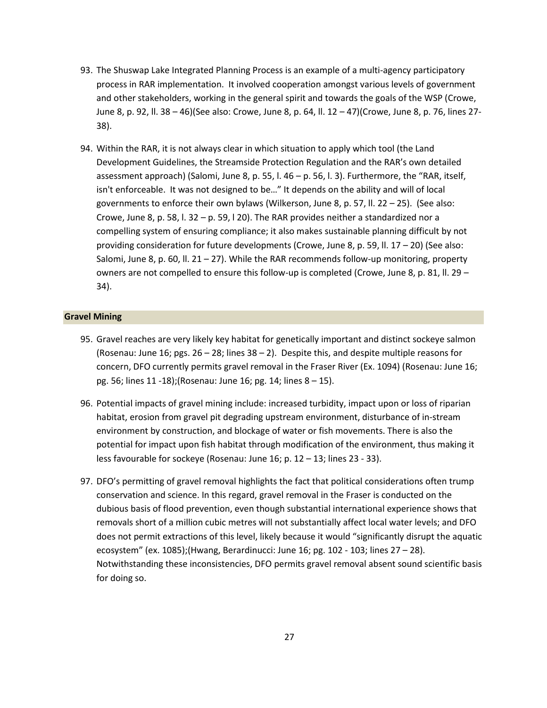- 93. The Shuswap Lake Integrated Planning Process is an example of a multi-agency participatory process in RAR implementation. It involved cooperation amongst various levels of government and other stakeholders, working in the general spirit and towards the goals of the WSP (Crowe, June 8, p. 92, ll. 38 – 46)(See also: Crowe, June 8, p. 64, ll. 12 – 47)(Crowe, June 8, p. 76, lines 27- 38).
- 94. Within the RAR, it is not always clear in which situation to apply which tool (the Land Development Guidelines, the Streamside Protection Regulation and the RAR's own detailed assessment approach) (Salomi, June 8, p. 55, l. 46 – p. 56, l. 3). Furthermore, the "RAR, itself, isn't enforceable. It was not designed to be…" It depends on the ability and will of local governments to enforce their own bylaws (Wilkerson, June 8, p. 57, ll. 22 – 25). (See also: Crowe, June 8, p. 58, l. 32 – p. 59, l 20). The RAR provides neither a standardized nor a compelling system of ensuring compliance; it also makes sustainable planning difficult by not providing consideration for future developments (Crowe, June 8, p. 59, II.  $17 - 20$ ) (See also: Salomi, June 8, p. 60, ll.  $21 - 27$ ). While the RAR recommends follow-up monitoring, property owners are not compelled to ensure this follow-up is completed (Crowe, June 8, p. 81, ll. 29 – 34).

#### <span id="page-26-0"></span>**Gravel Mining**

- 95. Gravel reaches are very likely key habitat for genetically important and distinct sockeye salmon (Rosenau: June 16; pgs. 26 – 28; lines 38 – 2). Despite this, and despite multiple reasons for concern, DFO currently permits gravel removal in the Fraser River (Ex. 1094) (Rosenau: June 16; pg. 56; lines 11 -18);(Rosenau: June 16; pg. 14; lines 8 – 15).
- 96. Potential impacts of gravel mining include: increased turbidity, impact upon or loss of riparian habitat, erosion from gravel pit degrading upstream environment, disturbance of in-stream environment by construction, and blockage of water or fish movements. There is also the potential for impact upon fish habitat through modification of the environment, thus making it less favourable for sockeye (Rosenau: June 16; p. 12 – 13; lines 23 - 33).
- 97. DFO's permitting of gravel removal highlights the fact that political considerations often trump conservation and science. In this regard, gravel removal in the Fraser is conducted on the dubious basis of flood prevention, even though substantial international experience shows that removals short of a million cubic metres will not substantially affect local water levels; and DFO does not permit extractions of this level, likely because it would "significantly disrupt the aquatic ecosystem" (ex. 1085);(Hwang, Berardinucci: June 16; pg. 102 - 103; lines 27 – 28). Notwithstanding these inconsistencies, DFO permits gravel removal absent sound scientific basis for doing so.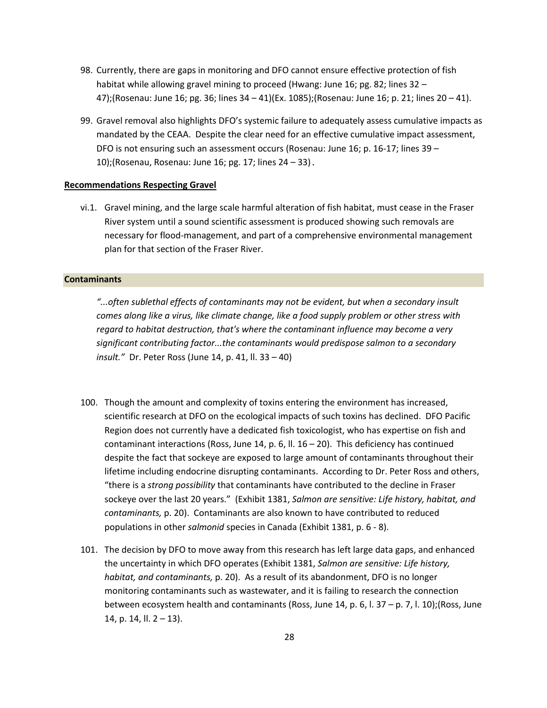- 98. Currently, there are gaps in monitoring and DFO cannot ensure effective protection of fish habitat while allowing gravel mining to proceed (Hwang: June 16; pg. 82; lines 32 -47);(Rosenau: June 16; pg. 36; lines 34 – 41)(Ex. 1085);(Rosenau: June 16; p. 21; lines 20 – 41).
- 99. Gravel removal also highlights DFO's systemic failure to adequately assess cumulative impacts as mandated by the CEAA. Despite the clear need for an effective cumulative impact assessment, DFO is not ensuring such an assessment occurs (Rosenau: June 16; p. 16-17; lines 39 – 10);(Rosenau, Rosenau: June 16; pg. 17; lines 24 – 33).

#### **Recommendations Respecting Gravel**

vi.1. Gravel mining, and the large scale harmful alteration of fish habitat, must cease in the Fraser River system until a sound scientific assessment is produced showing such removals are necessary for flood-management, and part of a comprehensive environmental management plan for that section of the Fraser River.

#### <span id="page-27-0"></span>**Contaminants**

*"...often sublethal effects of contaminants may not be evident, but when a secondary insult comes along like a virus, like climate change, like a food supply problem or other stress with regard to habitat destruction, that's where the contaminant influence may become a very significant contributing factor...the contaminants would predispose salmon to a secondary insult."* Dr. Peter Ross (June 14, p. 41, ll. 33 – 40)

- 100. Though the amount and complexity of toxins entering the environment has increased, scientific research at DFO on the ecological impacts of such toxins has declined. DFO Pacific Region does not currently have a dedicated fish toxicologist, who has expertise on fish and contaminant interactions (Ross, June 14, p. 6, ll.  $16 - 20$ ). This deficiency has continued despite the fact that sockeye are exposed to large amount of contaminants throughout their lifetime including endocrine disrupting contaminants. According to Dr. Peter Ross and others, "there is a *strong possibility* that contaminants have contributed to the decline in Fraser sockeye over the last 20 years." (Exhibit 1381, *Salmon are sensitive: Life history, habitat, and contaminants,* p. 20). Contaminants are also known to have contributed to reduced populations in other *salmonid* species in Canada (Exhibit 1381, p. 6 - 8).
- 101. The decision by DFO to move away from this research has left large data gaps, and enhanced the uncertainty in which DFO operates (Exhibit 1381, *Salmon are sensitive: Life history, habitat, and contaminants,* p. 20). As a result of its abandonment, DFO is no longer monitoring contaminants such as wastewater, and it is failing to research the connection between ecosystem health and contaminants (Ross, June 14, p. 6, l. 37 – p. 7, l. 10);(Ross, June 14, p. 14, ll. 2 – 13).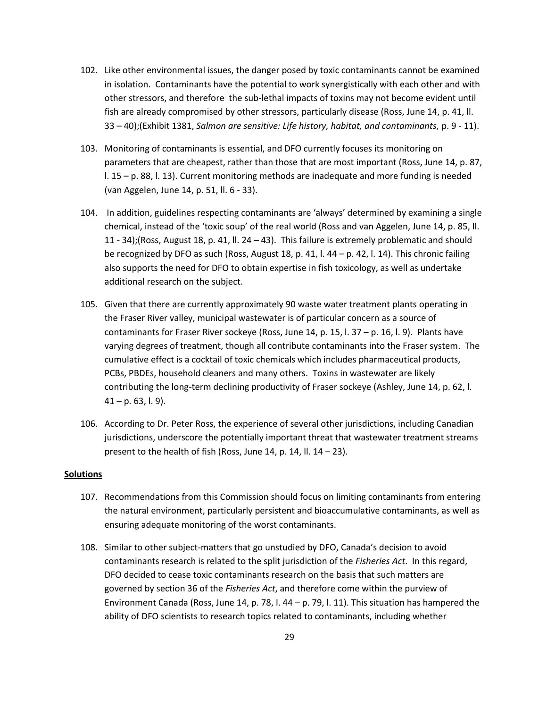- 102. Like other environmental issues, the danger posed by toxic contaminants cannot be examined in isolation. Contaminants have the potential to work synergistically with each other and with other stressors, and therefore the sub-lethal impacts of toxins may not become evident until fish are already compromised by other stressors, particularly disease (Ross, June 14, p. 41, ll. 33 – 40);(Exhibit 1381, *Salmon are sensitive: Life history, habitat, and contaminants,* p. 9 - 11).
- 103. Monitoring of contaminants is essential, and DFO currently focuses its monitoring on parameters that are cheapest, rather than those that are most important (Ross, June 14, p. 87, l. 15 – p. 88, l. 13). Current monitoring methods are inadequate and more funding is needed (van Aggelen, June 14, p. 51, ll. 6 - 33).
- 104. In addition, guidelines respecting contaminants are 'always' determined by examining a single chemical, instead of the 'toxic soup' of the real world (Ross and van Aggelen, June 14, p. 85, ll. 11 - 34);(Ross, August 18, p. 41, ll. 24 – 43). This failure is extremely problematic and should be recognized by DFO as such (Ross, August 18, p. 41, l. 44 – p. 42, l. 14). This chronic failing also supports the need for DFO to obtain expertise in fish toxicology, as well as undertake additional research on the subject.
- 105. Given that there are currently approximately 90 waste water treatment plants operating in the Fraser River valley, municipal wastewater is of particular concern as a source of contaminants for Fraser River sockeye (Ross, June 14, p. 15, l. 37 – p. 16, l. 9). Plants have varying degrees of treatment, though all contribute contaminants into the Fraser system. The cumulative effect is a cocktail of toxic chemicals which includes pharmaceutical products, PCBs, PBDEs, household cleaners and many others. Toxins in wastewater are likely contributing the long-term declining productivity of Fraser sockeye (Ashley, June 14, p. 62, l.  $41 - p. 63, l. 9$ ).
- 106. According to Dr. Peter Ross, the experience of several other jurisdictions, including Canadian jurisdictions, underscore the potentially important threat that wastewater treatment streams present to the health of fish (Ross, June 14, p. 14, ll. 14 – 23).

#### **Solutions**

- 107. Recommendations from this Commission should focus on limiting contaminants from entering the natural environment, particularly persistent and bioaccumulative contaminants, as well as ensuring adequate monitoring of the worst contaminants.
- 108. Similar to other subject-matters that go unstudied by DFO, Canada's decision to avoid contaminants research is related to the split jurisdiction of the *Fisheries Act*. In this regard, DFO decided to cease toxic contaminants research on the basis that such matters are governed by section 36 of the *Fisheries Act*, and therefore come within the purview of Environment Canada (Ross, June 14, p. 78, l. 44 – p. 79, l. 11). This situation has hampered the ability of DFO scientists to research topics related to contaminants, including whether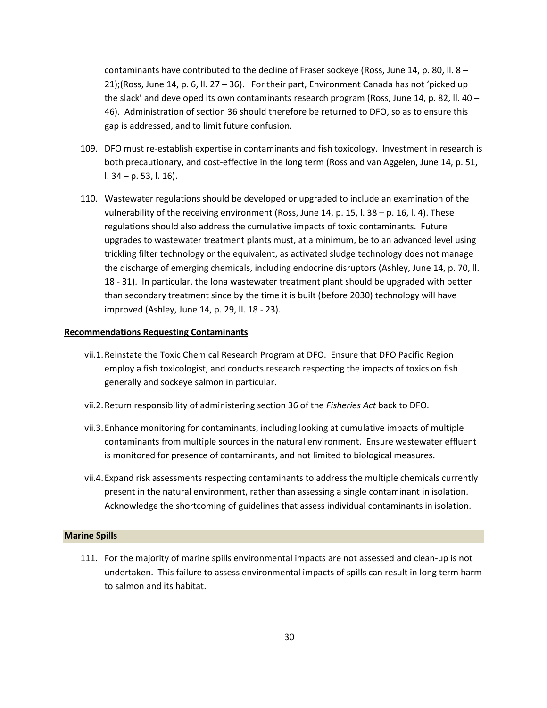contaminants have contributed to the decline of Fraser sockeye (Ross, June 14, p. 80, ll. 8 – 21);(Ross, June 14, p. 6, II. 27 – 36). For their part, Environment Canada has not 'picked up the slack' and developed its own contaminants research program (Ross, June 14, p. 82, II. 40 – 46). Administration of section 36 should therefore be returned to DFO, so as to ensure this gap is addressed, and to limit future confusion.

- 109. DFO must re-establish expertise in contaminants and fish toxicology. Investment in research is both precautionary, and cost-effective in the long term (Ross and van Aggelen, June 14, p. 51, l. 34 – p. 53, l. 16).
- 110. Wastewater regulations should be developed or upgraded to include an examination of the vulnerability of the receiving environment (Ross, June 14, p. 15, l.  $38 - p$ , 16, l. 4). These regulations should also address the cumulative impacts of toxic contaminants. Future upgrades to wastewater treatment plants must, at a minimum, be to an advanced level using trickling filter technology or the equivalent, as activated sludge technology does not manage the discharge of emerging chemicals, including endocrine disruptors (Ashley, June 14, p. 70, ll. 18 - 31). In particular, the Iona wastewater treatment plant should be upgraded with better than secondary treatment since by the time it is built (before 2030) technology will have improved (Ashley, June 14, p. 29, ll. 18 - 23).

#### **Recommendations Requesting Contaminants**

- vii.1.Reinstate the Toxic Chemical Research Program at DFO. Ensure that DFO Pacific Region employ a fish toxicologist, and conducts research respecting the impacts of toxics on fish generally and sockeye salmon in particular.
- vii.2.Return responsibility of administering section 36 of the *Fisheries Act* back to DFO.
- vii.3.Enhance monitoring for contaminants, including looking at cumulative impacts of multiple contaminants from multiple sources in the natural environment. Ensure wastewater effluent is monitored for presence of contaminants, and not limited to biological measures.
- vii.4.Expand risk assessments respecting contaminants to address the multiple chemicals currently present in the natural environment, rather than assessing a single contaminant in isolation. Acknowledge the shortcoming of guidelines that assess individual contaminants in isolation.

#### <span id="page-29-0"></span>**Marine Spills**

111. For the majority of marine spills environmental impacts are not assessed and clean-up is not undertaken. This failure to assess environmental impacts of spills can result in long term harm to salmon and its habitat.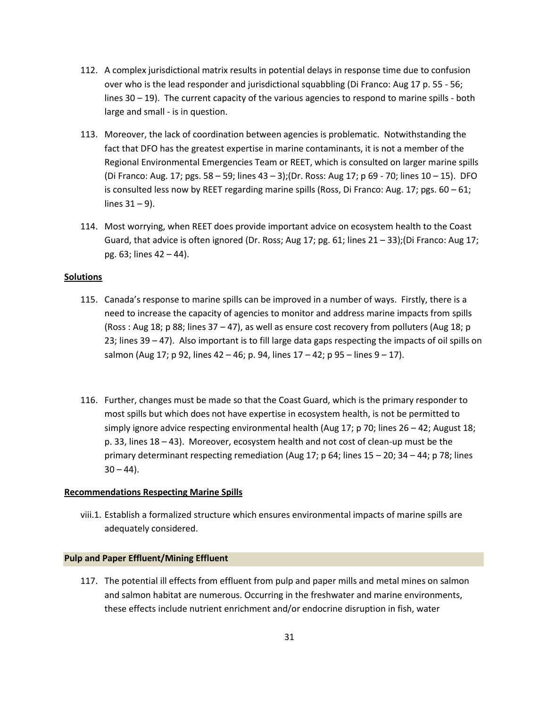- 112. A complex jurisdictional matrix results in potential delays in response time due to confusion over who is the lead responder and jurisdictional squabbling (Di Franco: Aug 17 p. 55 - 56; lines 30 – 19). The current capacity of the various agencies to respond to marine spills - both large and small - is in question.
- 113. Moreover, the lack of coordination between agencies is problematic. Notwithstanding the fact that DFO has the greatest expertise in marine contaminants, it is not a member of the Regional Environmental Emergencies Team or REET, which is consulted on larger marine spills (Di Franco: Aug. 17; pgs. 58 – 59; lines 43 – 3);(Dr. Ross: Aug 17; p 69 - 70; lines 10 – 15). DFO is consulted less now by REET regarding marine spills (Ross, Di Franco: Aug. 17; pgs. 60 – 61; lines  $31 - 9$ ).
- 114. Most worrying, when REET does provide important advice on ecosystem health to the Coast Guard, that advice is often ignored (Dr. Ross; Aug 17; pg. 61; lines  $21 - 33$ ); (Di Franco: Aug 17; pg. 63; lines 42 – 44).

#### **Solutions**

- 115. Canada's response to marine spills can be improved in a number of ways. Firstly, there is a need to increase the capacity of agencies to monitor and address marine impacts from spills (Ross : Aug 18; p 88; lines 37 – 47), as well as ensure cost recovery from polluters (Aug 18; p 23; lines 39 – 47). Also important is to fill large data gaps respecting the impacts of oil spills on salmon (Aug 17; p 92, lines 42 – 46; p. 94, lines  $17 - 42$ ; p 95 – lines  $9 - 17$ ).
- 116. Further, changes must be made so that the Coast Guard, which is the primary responder to most spills but which does not have expertise in ecosystem health, is not be permitted to simply ignore advice respecting environmental health (Aug 17; p 70; lines 26 – 42; August 18; p. 33, lines 18 – 43). Moreover, ecosystem health and not cost of clean-up must be the primary determinant respecting remediation (Aug 17; p 64; lines 15 – 20; 34 – 44; p 78; lines  $30 - 44$ ).

#### **Recommendations Respecting Marine Spills**

viii.1. Establish a formalized structure which ensures environmental impacts of marine spills are adequately considered.

#### <span id="page-30-0"></span>**Pulp and Paper Effluent/Mining Effluent**

117. The potential ill effects from effluent from pulp and paper mills and metal mines on salmon and salmon habitat are numerous. Occurring in the freshwater and marine environments, these effects include nutrient enrichment and/or endocrine disruption in fish, water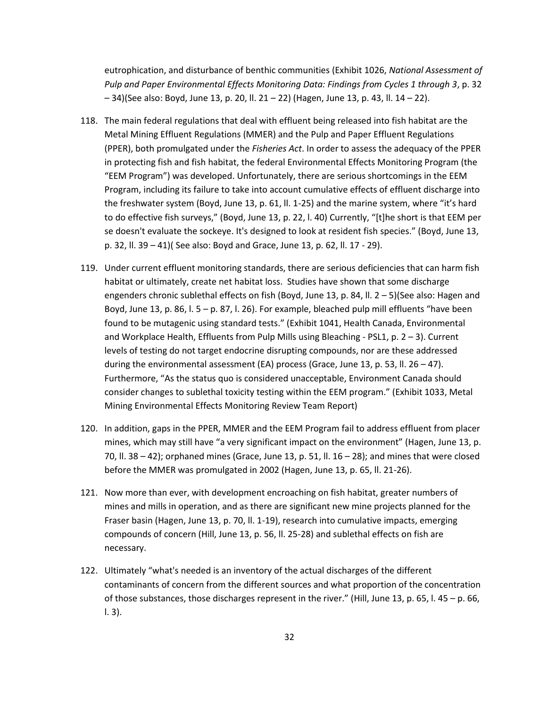eutrophication, and disturbance of benthic communities (Exhibit 1026, *National Assessment of Pulp and Paper Environmental Effects Monitoring Data: Findings from Cycles 1 through 3*, p. 32 – 34)(See also: Boyd, June 13, p. 20, ll. 21 – 22) (Hagen, June 13, p. 43, ll. 14 – 22).

- 118. The main federal regulations that deal with effluent being released into fish habitat are the Metal Mining Effluent Regulations (MMER) and the Pulp and Paper Effluent Regulations (PPER), both promulgated under the *Fisheries Act*. In order to assess the adequacy of the PPER in protecting fish and fish habitat, the federal Environmental Effects Monitoring Program (the "EEM Program") was developed. Unfortunately, there are serious shortcomings in the EEM Program, including its failure to take into account cumulative effects of effluent discharge into the freshwater system (Boyd, June 13, p. 61, ll. 1-25) and the marine system, where "it's hard to do effective fish surveys," (Boyd, June 13, p. 22, l. 40) Currently, "[t]he short is that EEM per se doesn't evaluate the sockeye. It's designed to look at resident fish species." (Boyd, June 13, p. 32, ll. 39 – 41)( See also: Boyd and Grace, June 13, p. 62, ll. 17 - 29).
- 119. Under current effluent monitoring standards, there are serious deficiencies that can harm fish habitat or ultimately, create net habitat loss. Studies have shown that some discharge engenders chronic sublethal effects on fish (Boyd, June 13, p. 84, II. 2 – 5)(See also: Hagen and Boyd, June 13, p. 86, l.  $5 - p$ . 87, l. 26). For example, bleached pulp mill effluents "have been found to be mutagenic using standard tests." (Exhibit 1041, Health Canada, Environmental and Workplace Health, Effluents from Pulp Mills using Bleaching - PSL1, p.  $2 - 3$ ). Current levels of testing do not target endocrine disrupting compounds, nor are these addressed during the environmental assessment (EA) process (Grace, June 13, p. 53, ll. 26 – 47). Furthermore, "As the status quo is considered unacceptable, Environment Canada should consider changes to sublethal toxicity testing within the EEM program." (Exhibit 1033, Metal Mining Environmental Effects Monitoring Review Team Report)
- 120. In addition, gaps in the PPER, MMER and the EEM Program fail to address effluent from placer mines, which may still have "a very significant impact on the environment" (Hagen, June 13, p. 70, II. 38 – 42); orphaned mines (Grace, June 13, p. 51, II.  $16 - 28$ ); and mines that were closed before the MMER was promulgated in 2002 (Hagen, June 13, p. 65, ll. 21-26).
- 121. Now more than ever, with development encroaching on fish habitat, greater numbers of mines and mills in operation, and as there are significant new mine projects planned for the Fraser basin (Hagen, June 13, p. 70, ll. 1-19), research into cumulative impacts, emerging compounds of concern (Hill, June 13, p. 56, ll. 25-28) and sublethal effects on fish are necessary.
- 122. Ultimately "what's needed is an inventory of the actual discharges of the different contaminants of concern from the different sources and what proportion of the concentration of those substances, those discharges represent in the river." (Hill, June 13, p. 65, l. 45 – p. 66, l. 3).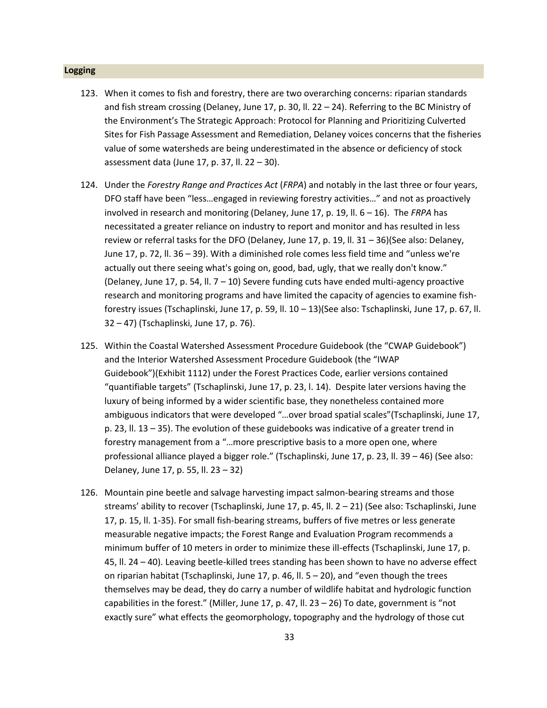#### <span id="page-32-0"></span>**Logging**

- 123. When it comes to fish and forestry, there are two overarching concerns: riparian standards and fish stream crossing (Delaney, June 17, p. 30, ll. 22 – 24). Referring to the BC Ministry of the Environment's The Strategic Approach: Protocol for Planning and Prioritizing Culverted Sites for Fish Passage Assessment and Remediation, Delaney voices concerns that the fisheries value of some watersheds are being underestimated in the absence or deficiency of stock assessment data (June 17, p. 37, ll. 22 – 30).
- 124. Under the *Forestry Range and Practices Act* (*FRPA*) and notably in the last three or four years, DFO staff have been "less…engaged in reviewing forestry activities…" and not as proactively involved in research and monitoring (Delaney, June 17, p. 19, ll. 6 – 16). The *FRPA* has necessitated a greater reliance on industry to report and monitor and has resulted in less review or referral tasks for the DFO (Delaney, June 17, p. 19, ll. 31 – 36)(See also: Delaney, June 17, p. 72, ll. 36 – 39). With a diminished role comes less field time and "unless we're actually out there seeing what's going on, good, bad, ugly, that we really don't know." (Delaney, June 17, p. 54, ll. 7 – 10) Severe funding cuts have ended multi-agency proactive research and monitoring programs and have limited the capacity of agencies to examine fishforestry issues (Tschaplinski, June 17, p. 59, ll. 10 – 13)(See also: Tschaplinski, June 17, p. 67, ll. 32 – 47) (Tschaplinski, June 17, p. 76).
- 125. Within the Coastal Watershed Assessment Procedure Guidebook (the "CWAP Guidebook") and the Interior Watershed Assessment Procedure Guidebook (the "IWAP Guidebook")(Exhibit 1112) under the Forest Practices Code, earlier versions contained "quantifiable targets" (Tschaplinski, June 17, p. 23, l. 14). Despite later versions having the luxury of being informed by a wider scientific base, they nonetheless contained more ambiguous indicators that were developed "…over broad spatial scales"(Tschaplinski, June 17, p. 23, ll. 13 – 35). The evolution of these guidebooks was indicative of a greater trend in forestry management from a "…more prescriptive basis to a more open one, where professional alliance played a bigger role." (Tschaplinski, June 17, p. 23, ll. 39 – 46) (See also: Delaney, June 17, p. 55, ll. 23 – 32)
- 126. Mountain pine beetle and salvage harvesting impact salmon-bearing streams and those streams' ability to recover (Tschaplinski, June 17, p. 45, ll. 2 – 21) (See also: Tschaplinski, June 17, p. 15, ll. 1-35). For small fish-bearing streams, buffers of five metres or less generate measurable negative impacts; the Forest Range and Evaluation Program recommends a minimum buffer of 10 meters in order to minimize these ill-effects (Tschaplinski, June 17, p. 45, ll. 24 – 40). Leaving beetle-killed trees standing has been shown to have no adverse effect on riparian habitat (Tschaplinski, June 17, p. 46, II.  $5 - 20$ ), and "even though the trees themselves may be dead, they do carry a number of wildlife habitat and hydrologic function capabilities in the forest." (Miller, June 17, p. 47, II. 23 – 26) To date, government is "not exactly sure" what effects the geomorphology, topography and the hydrology of those cut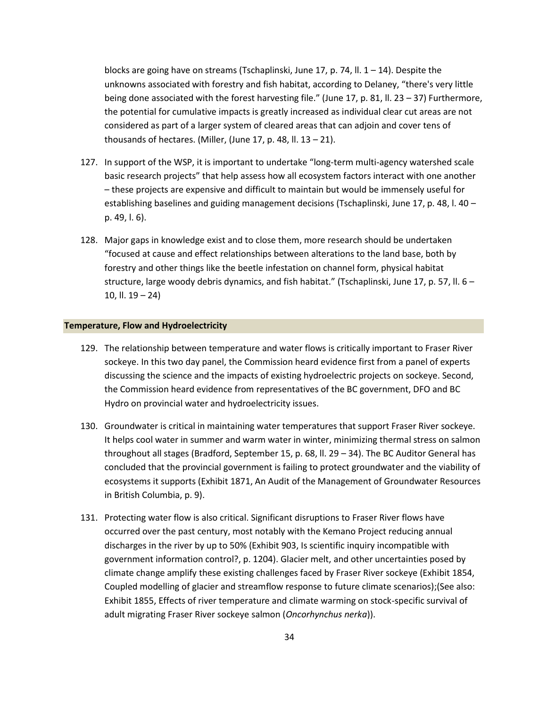blocks are going have on streams (Tschaplinski, June 17, p. 74, ll.  $1 - 14$ ). Despite the unknowns associated with forestry and fish habitat, according to Delaney, "there's very little being done associated with the forest harvesting file." (June 17, p. 81, ll. 23 – 37) Furthermore, the potential for cumulative impacts is greatly increased as individual clear cut areas are not considered as part of a larger system of cleared areas that can adjoin and cover tens of thousands of hectares. (Miller, (June 17, p. 48, ll.  $13 - 21$ ).

- 127. In support of the WSP, it is important to undertake "long-term multi-agency watershed scale basic research projects" that help assess how all ecosystem factors interact with one another – these projects are expensive and difficult to maintain but would be immensely useful for establishing baselines and guiding management decisions (Tschaplinski, June 17, p. 48, l. 40 – p. 49, l. 6).
- 128. Major gaps in knowledge exist and to close them, more research should be undertaken "focused at cause and effect relationships between alterations to the land base, both by forestry and other things like the beetle infestation on channel form, physical habitat structure, large woody debris dynamics, and fish habitat." (Tschaplinski, June 17, p. 57, ll. 6 – 10, ll. 19 – 24)

#### <span id="page-33-0"></span>**Temperature, Flow and Hydroelectricity**

- 129. The relationship between temperature and water flows is critically important to Fraser River sockeye. In this two day panel, the Commission heard evidence first from a panel of experts discussing the science and the impacts of existing hydroelectric projects on sockeye. Second, the Commission heard evidence from representatives of the BC government, DFO and BC Hydro on provincial water and hydroelectricity issues.
- 130. Groundwater is critical in maintaining water temperatures that support Fraser River sockeye. It helps cool water in summer and warm water in winter, minimizing thermal stress on salmon throughout all stages (Bradford, September 15, p. 68, ll. 29 – 34). The BC Auditor General has concluded that the provincial government is failing to protect groundwater and the viability of ecosystems it supports (Exhibit 1871, An Audit of the Management of Groundwater Resources in British Columbia, p. 9).
- 131. Protecting water flow is also critical. Significant disruptions to Fraser River flows have occurred over the past century, most notably with the Kemano Project reducing annual discharges in the river by up to 50% (Exhibit 903, Is scientific inquiry incompatible with government information control?, p. 1204). Glacier melt, and other uncertainties posed by climate change amplify these existing challenges faced by Fraser River sockeye (Exhibit 1854, Coupled modelling of glacier and streamflow response to future climate scenarios);(See also: Exhibit 1855, Effects of river temperature and climate warming on stock-specific survival of adult migrating Fraser River sockeye salmon (*Oncorhynchus nerka*)).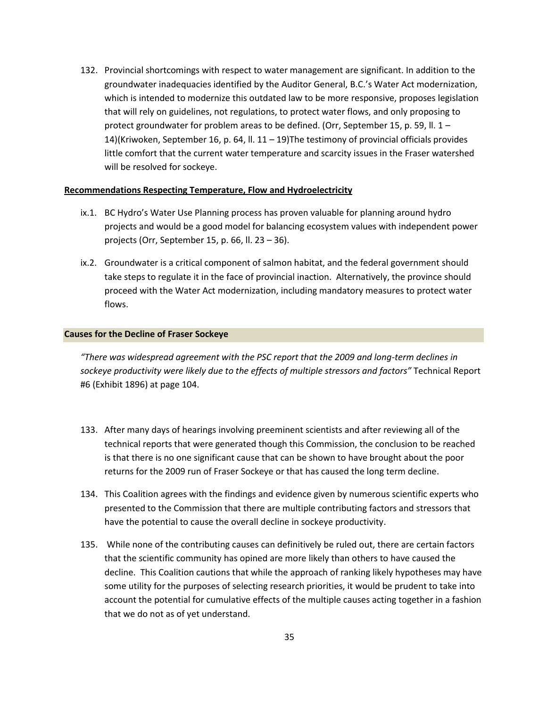132. Provincial shortcomings with respect to water management are significant. In addition to the groundwater inadequacies identified by the Auditor General, B.C.'s Water Act modernization, which is intended to modernize this outdated law to be more responsive, proposes legislation that will rely on guidelines, not regulations, to protect water flows, and only proposing to protect groundwater for problem areas to be defined. (Orr, September 15, p. 59, ll. 1 – 14)(Kriwoken, September 16, p. 64, ll. 11 – 19)The testimony of provincial officials provides little comfort that the current water temperature and scarcity issues in the Fraser watershed will be resolved for sockeye.

#### **Recommendations Respecting Temperature, Flow and Hydroelectricity**

- ix.1. BC Hydro's Water Use Planning process has proven valuable for planning around hydro projects and would be a good model for balancing ecosystem values with independent power projects (Orr, September 15, p. 66, ll. 23 – 36).
- ix.2. Groundwater is a critical component of salmon habitat, and the federal government should take steps to regulate it in the face of provincial inaction. Alternatively, the province should proceed with the Water Act modernization, including mandatory measures to protect water flows.

#### <span id="page-34-0"></span>**Causes for the Decline of Fraser Sockeye**

*"There was widespread agreement with the PSC report that the 2009 and long-term declines in sockeye productivity were likely due to the effects of multiple stressors and factors"* Technical Report #6 (Exhibit 1896) at page 104.

- 133. After many days of hearings involving preeminent scientists and after reviewing all of the technical reports that were generated though this Commission, the conclusion to be reached is that there is no one significant cause that can be shown to have brought about the poor returns for the 2009 run of Fraser Sockeye or that has caused the long term decline.
- 134. This Coalition agrees with the findings and evidence given by numerous scientific experts who presented to the Commission that there are multiple contributing factors and stressors that have the potential to cause the overall decline in sockeye productivity.
- 135. While none of the contributing causes can definitively be ruled out, there are certain factors that the scientific community has opined are more likely than others to have caused the decline. This Coalition cautions that while the approach of ranking likely hypotheses may have some utility for the purposes of selecting research priorities, it would be prudent to take into account the potential for cumulative effects of the multiple causes acting together in a fashion that we do not as of yet understand.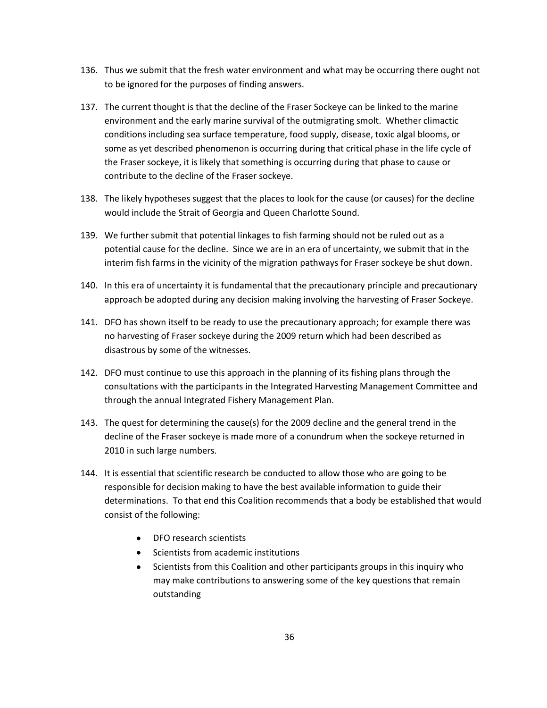- 136. Thus we submit that the fresh water environment and what may be occurring there ought not to be ignored for the purposes of finding answers.
- 137. The current thought is that the decline of the Fraser Sockeye can be linked to the marine environment and the early marine survival of the outmigrating smolt. Whether climactic conditions including sea surface temperature, food supply, disease, toxic algal blooms, or some as yet described phenomenon is occurring during that critical phase in the life cycle of the Fraser sockeye, it is likely that something is occurring during that phase to cause or contribute to the decline of the Fraser sockeye.
- 138. The likely hypotheses suggest that the places to look for the cause (or causes) for the decline would include the Strait of Georgia and Queen Charlotte Sound.
- 139. We further submit that potential linkages to fish farming should not be ruled out as a potential cause for the decline. Since we are in an era of uncertainty, we submit that in the interim fish farms in the vicinity of the migration pathways for Fraser sockeye be shut down.
- 140. In this era of uncertainty it is fundamental that the precautionary principle and precautionary approach be adopted during any decision making involving the harvesting of Fraser Sockeye.
- 141. DFO has shown itself to be ready to use the precautionary approach; for example there was no harvesting of Fraser sockeye during the 2009 return which had been described as disastrous by some of the witnesses.
- 142. DFO must continue to use this approach in the planning of its fishing plans through the consultations with the participants in the Integrated Harvesting Management Committee and through the annual Integrated Fishery Management Plan.
- 143. The quest for determining the cause(s) for the 2009 decline and the general trend in the decline of the Fraser sockeye is made more of a conundrum when the sockeye returned in 2010 in such large numbers.
- 144. It is essential that scientific research be conducted to allow those who are going to be responsible for decision making to have the best available information to guide their determinations. To that end this Coalition recommends that a body be established that would consist of the following:
	- DFO research scientists
	- Scientists from academic institutions
	- Scientists from this Coalition and other participants groups in this inquiry who may make contributions to answering some of the key questions that remain outstanding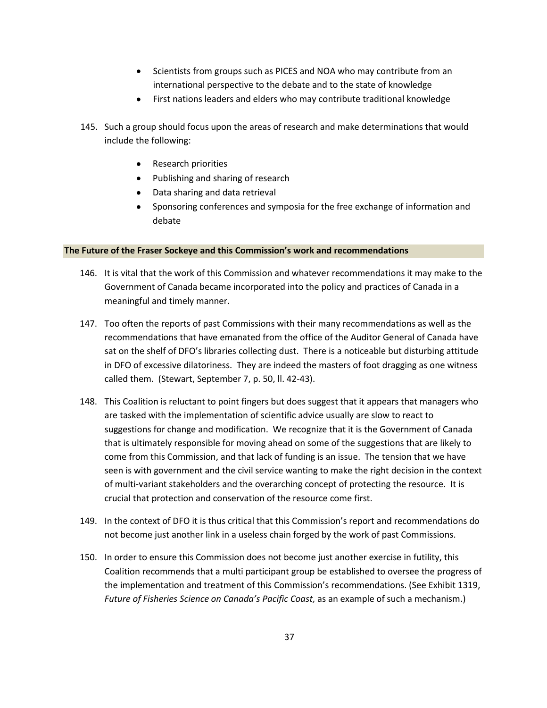- Scientists from groups such as PICES and NOA who may contribute from an international perspective to the debate and to the state of knowledge
- First nations leaders and elders who may contribute traditional knowledge
- 145. Such a group should focus upon the areas of research and make determinations that would include the following:
	- Research priorities
	- Publishing and sharing of research
	- Data sharing and data retrieval
	- Sponsoring conferences and symposia for the free exchange of information and debate

# <span id="page-36-0"></span>**The Future of the Fraser Sockeye and this Commission's work and recommendations**

- 146. It is vital that the work of this Commission and whatever recommendations it may make to the Government of Canada became incorporated into the policy and practices of Canada in a meaningful and timely manner.
- 147. Too often the reports of past Commissions with their many recommendations as well as the recommendations that have emanated from the office of the Auditor General of Canada have sat on the shelf of DFO's libraries collecting dust. There is a noticeable but disturbing attitude in DFO of excessive dilatoriness. They are indeed the masters of foot dragging as one witness called them. (Stewart, September 7, p. 50, ll. 42-43).
- 148. This Coalition is reluctant to point fingers but does suggest that it appears that managers who are tasked with the implementation of scientific advice usually are slow to react to suggestions for change and modification. We recognize that it is the Government of Canada that is ultimately responsible for moving ahead on some of the suggestions that are likely to come from this Commission, and that lack of funding is an issue. The tension that we have seen is with government and the civil service wanting to make the right decision in the context of multi-variant stakeholders and the overarching concept of protecting the resource. It is crucial that protection and conservation of the resource come first.
- 149. In the context of DFO it is thus critical that this Commission's report and recommendations do not become just another link in a useless chain forged by the work of past Commissions.
- 150. In order to ensure this Commission does not become just another exercise in futility, this Coalition recommends that a multi participant group be established to oversee the progress of the implementation and treatment of this Commission's recommendations. (See Exhibit 1319, *Future of Fisheries Science on Canada's Pacific Coast,* as an example of such a mechanism.)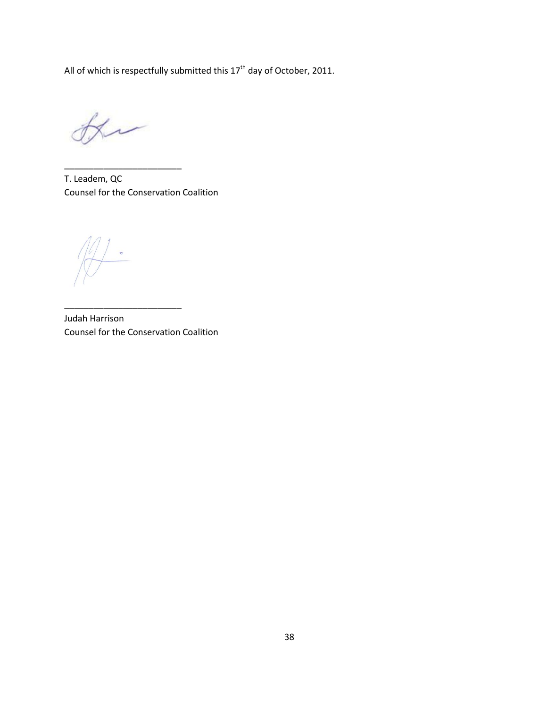All of which is respectfully submitted this  $17<sup>th</sup>$  day of October, 2011.

 $\overline{v}$ 

\_\_\_\_\_\_\_\_\_\_\_\_\_\_\_\_\_\_\_\_\_\_\_\_

T. Leadem, QC Counsel for the Conservation Coalition

Judah Harrison Counsel for the Conservation Coalition

\_\_\_\_\_\_\_\_\_\_\_\_\_\_\_\_\_\_\_\_\_\_\_\_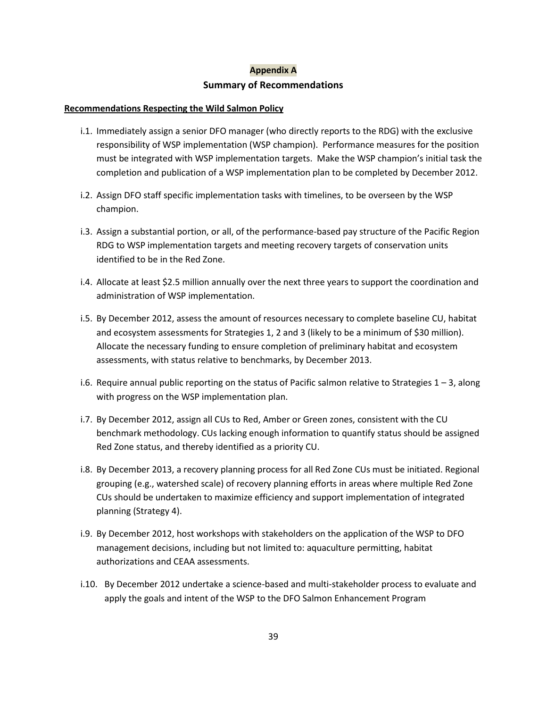# **Appendix A Summary of Recommendations**

# <span id="page-38-0"></span>**Recommendations Respecting the Wild Salmon Policy**

- i.1. Immediately assign a senior DFO manager (who directly reports to the RDG) with the exclusive responsibility of WSP implementation (WSP champion). Performance measures for the position must be integrated with WSP implementation targets. Make the WSP champion's initial task the completion and publication of a WSP implementation plan to be completed by December 2012.
- i.2. Assign DFO staff specific implementation tasks with timelines, to be overseen by the WSP champion.
- i.3. Assign a substantial portion, or all, of the performance-based pay structure of the Pacific Region RDG to WSP implementation targets and meeting recovery targets of conservation units identified to be in the Red Zone.
- i.4. Allocate at least \$2.5 million annually over the next three years to support the coordination and administration of WSP implementation.
- i.5. By December 2012, assess the amount of resources necessary to complete baseline CU, habitat and ecosystem assessments for Strategies 1, 2 and 3 (likely to be a minimum of \$30 million). Allocate the necessary funding to ensure completion of preliminary habitat and ecosystem assessments, with status relative to benchmarks, by December 2013.
- i.6. Require annual public reporting on the status of Pacific salmon relative to Strategies 1 3, along with progress on the WSP implementation plan.
- i.7. By December 2012, assign all CUs to Red, Amber or Green zones, consistent with the CU benchmark methodology. CUs lacking enough information to quantify status should be assigned Red Zone status, and thereby identified as a priority CU.
- i.8. By December 2013, a recovery planning process for all Red Zone CUs must be initiated. Regional grouping (e.g., watershed scale) of recovery planning efforts in areas where multiple Red Zone CUs should be undertaken to maximize efficiency and support implementation of integrated planning (Strategy 4).
- i.9. By December 2012, host workshops with stakeholders on the application of the WSP to DFO management decisions, including but not limited to: aquaculture permitting, habitat authorizations and CEAA assessments.
- i.10. By December 2012 undertake a science-based and multi-stakeholder process to evaluate and apply the goals and intent of the WSP to the DFO Salmon Enhancement Program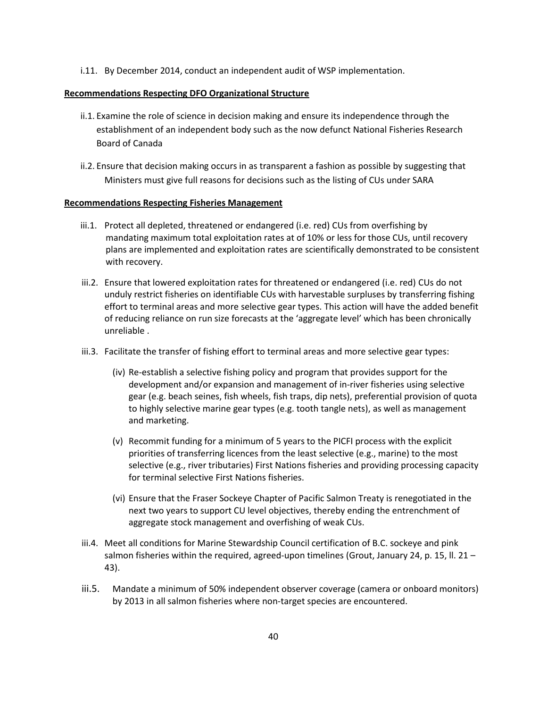i.11. By December 2014, conduct an independent audit of WSP implementation.

# **Recommendations Respecting DFO Organizational Structure**

- ii.1. Examine the role of science in decision making and ensure its independence through the establishment of an independent body such as the now defunct National Fisheries Research Board of Canada
- ii.2. Ensure that decision making occurs in as transparent a fashion as possible by suggesting that Ministers must give full reasons for decisions such as the listing of CUs under SARA

# **Recommendations Respecting Fisheries Management**

- iii.1. Protect all depleted, threatened or endangered (i.e. red) CUs from overfishing by mandating maximum total exploitation rates at of 10% or less for those CUs, until recovery plans are implemented and exploitation rates are scientifically demonstrated to be consistent with recovery.
- iii.2. Ensure that lowered exploitation rates for threatened or endangered (i.e. red) CUs do not unduly restrict fisheries on identifiable CUs with harvestable surpluses by transferring fishing effort to terminal areas and more selective gear types. This action will have the added benefit of reducing reliance on run size forecasts at the 'aggregate level' which has been chronically unreliable .
- iii.3. Facilitate the transfer of fishing effort to terminal areas and more selective gear types:
	- (iv) Re-establish a selective fishing policy and program that provides support for the development and/or expansion and management of in-river fisheries using selective gear (e.g. beach seines, fish wheels, fish traps, dip nets), preferential provision of quota to highly selective marine gear types (e.g. tooth tangle nets), as well as management and marketing.
	- (v) Recommit funding for a minimum of 5 years to the PICFI process with the explicit priorities of transferring licences from the least selective (e.g., marine) to the most selective (e.g., river tributaries) First Nations fisheries and providing processing capacity for terminal selective First Nations fisheries.
	- (vi) Ensure that the Fraser Sockeye Chapter of Pacific Salmon Treaty is renegotiated in the next two years to support CU level objectives, thereby ending the entrenchment of aggregate stock management and overfishing of weak CUs.
- iii.4. Meet all conditions for Marine Stewardship Council certification of B.C. sockeye and pink salmon fisheries within the required, agreed-upon timelines (Grout, January 24, p. 15, ll. 21 -43).
- iii.5. Mandate a minimum of 50% independent observer coverage (camera or onboard monitors) by 2013 in all salmon fisheries where non-target species are encountered.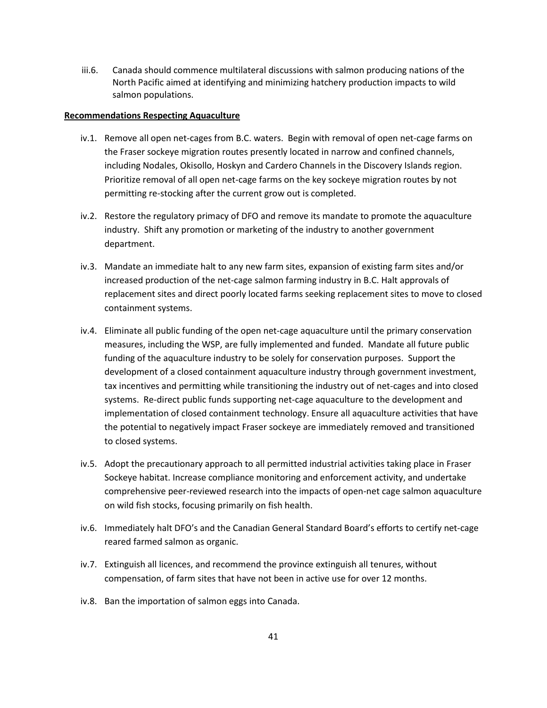iii.6. Canada should commence multilateral discussions with salmon producing nations of the North Pacific aimed at identifying and minimizing hatchery production impacts to wild salmon populations.

#### **Recommendations Respecting Aquaculture**

- iv.1. Remove all open net-cages from B.C. waters. Begin with removal of open net-cage farms on the Fraser sockeye migration routes presently located in narrow and confined channels, including Nodales, Okisollo, Hoskyn and Cardero Channels in the Discovery Islands region. Prioritize removal of all open net-cage farms on the key sockeye migration routes by not permitting re-stocking after the current grow out is completed.
- iv.2. Restore the regulatory primacy of DFO and remove its mandate to promote the aquaculture industry. Shift any promotion or marketing of the industry to another government department.
- iv.3. Mandate an immediate halt to any new farm sites, expansion of existing farm sites and/or increased production of the net-cage salmon farming industry in B.C. Halt approvals of replacement sites and direct poorly located farms seeking replacement sites to move to closed containment systems.
- iv.4. Eliminate all public funding of the open net-cage aquaculture until the primary conservation measures, including the WSP, are fully implemented and funded. Mandate all future public funding of the aquaculture industry to be solely for conservation purposes. Support the development of a closed containment aquaculture industry through government investment, tax incentives and permitting while transitioning the industry out of net-cages and into closed systems. Re-direct public funds supporting net-cage aquaculture to the development and implementation of closed containment technology. Ensure all aquaculture activities that have the potential to negatively impact Fraser sockeye are immediately removed and transitioned to closed systems.
- iv.5. Adopt the precautionary approach to all permitted industrial activities taking place in Fraser Sockeye habitat. Increase compliance monitoring and enforcement activity, and undertake comprehensive peer-reviewed research into the impacts of open-net cage salmon aquaculture on wild fish stocks, focusing primarily on fish health.
- iv.6. Immediately halt DFO's and the Canadian General Standard Board's efforts to certify net-cage reared farmed salmon as organic.
- iv.7. Extinguish all licences, and recommend the province extinguish all tenures, without compensation, of farm sites that have not been in active use for over 12 months.
- iv.8. Ban the importation of salmon eggs into Canada.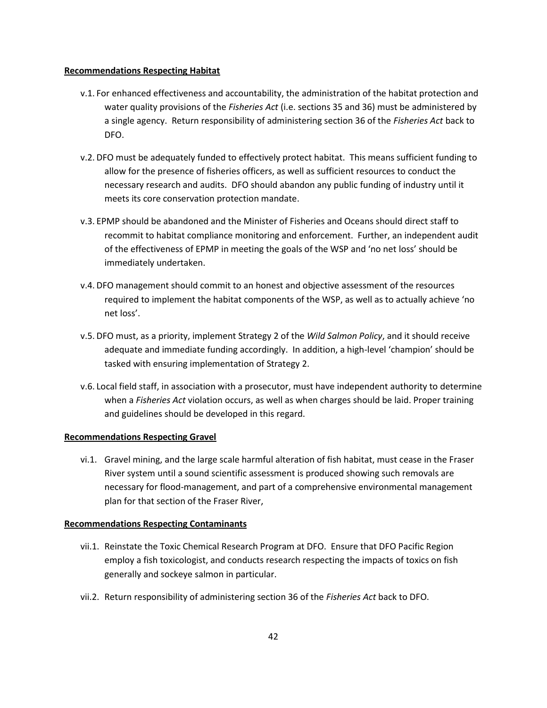#### **Recommendations Respecting Habitat**

- v.1. For enhanced effectiveness and accountability, the administration of the habitat protection and water quality provisions of the *Fisheries Act* (i.e. sections 35 and 36) must be administered by a single agency. Return responsibility of administering section 36 of the *Fisheries Act* back to DFO.
- v.2. DFO must be adequately funded to effectively protect habitat. This means sufficient funding to allow for the presence of fisheries officers, as well as sufficient resources to conduct the necessary research and audits. DFO should abandon any public funding of industry until it meets its core conservation protection mandate.
- v.3. EPMP should be abandoned and the Minister of Fisheries and Oceans should direct staff to recommit to habitat compliance monitoring and enforcement. Further, an independent audit of the effectiveness of EPMP in meeting the goals of the WSP and 'no net loss' should be immediately undertaken.
- v.4. DFO management should commit to an honest and objective assessment of the resources required to implement the habitat components of the WSP, as well as to actually achieve 'no net loss'.
- v.5. DFO must, as a priority, implement Strategy 2 of the *Wild Salmon Policy*, and it should receive adequate and immediate funding accordingly. In addition, a high-level 'champion' should be tasked with ensuring implementation of Strategy 2.
- v.6. Local field staff, in association with a prosecutor, must have independent authority to determine when a *Fisheries Act* violation occurs, as well as when charges should be laid. Proper training and guidelines should be developed in this regard.

# **Recommendations Respecting Gravel**

vi.1. Gravel mining, and the large scale harmful alteration of fish habitat, must cease in the Fraser River system until a sound scientific assessment is produced showing such removals are necessary for flood-management, and part of a comprehensive environmental management plan for that section of the Fraser River,

# **Recommendations Respecting Contaminants**

- vii.1. Reinstate the Toxic Chemical Research Program at DFO. Ensure that DFO Pacific Region employ a fish toxicologist, and conducts research respecting the impacts of toxics on fish generally and sockeye salmon in particular.
- vii.2. Return responsibility of administering section 36 of the *Fisheries Act* back to DFO.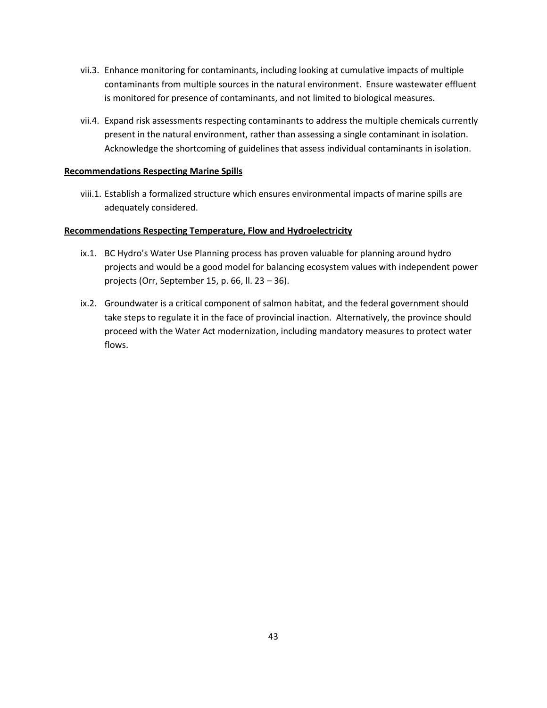- vii.3. Enhance monitoring for contaminants, including looking at cumulative impacts of multiple contaminants from multiple sources in the natural environment. Ensure wastewater effluent is monitored for presence of contaminants, and not limited to biological measures.
- vii.4. Expand risk assessments respecting contaminants to address the multiple chemicals currently present in the natural environment, rather than assessing a single contaminant in isolation. Acknowledge the shortcoming of guidelines that assess individual contaminants in isolation.

# **Recommendations Respecting Marine Spills**

viii.1. Establish a formalized structure which ensures environmental impacts of marine spills are adequately considered.

# **Recommendations Respecting Temperature, Flow and Hydroelectricity**

- ix.1. BC Hydro's Water Use Planning process has proven valuable for planning around hydro projects and would be a good model for balancing ecosystem values with independent power projects (Orr, September 15, p. 66, ll. 23 – 36).
- ix.2. Groundwater is a critical component of salmon habitat, and the federal government should take steps to regulate it in the face of provincial inaction. Alternatively, the province should proceed with the Water Act modernization, including mandatory measures to protect water flows.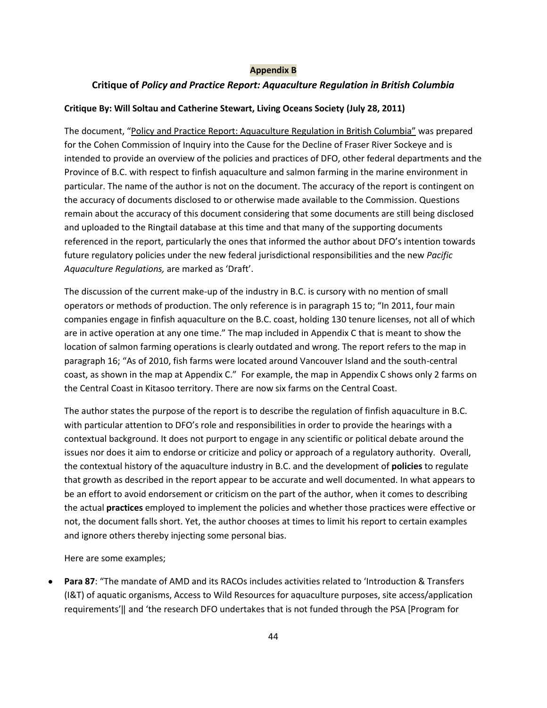# **Appendix B**

# <span id="page-43-0"></span>**Critique of** *Policy and Practice Report: Aquaculture Regulation in British Columbia*

# **Critique By: Will Soltau and Catherine Stewart, Living Oceans Society (July 28, 2011)**

The document, "Policy and Practice Report: Aquaculture Regulation in British Columbia" was prepared for the Cohen Commission of Inquiry into the Cause for the Decline of Fraser River Sockeye and is intended to provide an overview of the policies and practices of DFO, other federal departments and the Province of B.C. with respect to finfish aquaculture and salmon farming in the marine environment in particular. The name of the author is not on the document. The accuracy of the report is contingent on the accuracy of documents disclosed to or otherwise made available to the Commission. Questions remain about the accuracy of this document considering that some documents are still being disclosed and uploaded to the Ringtail database at this time and that many of the supporting documents referenced in the report, particularly the ones that informed the author about DFO's intention towards future regulatory policies under the new federal jurisdictional responsibilities and the new *Pacific Aquaculture Regulations,* are marked as 'Draft'.

The discussion of the current make-up of the industry in B.C. is cursory with no mention of small operators or methods of production. The only reference is in paragraph 15 to; "In 2011, four main companies engage in finfish aquaculture on the B.C. coast, holding 130 tenure licenses, not all of which are in active operation at any one time." The map included in Appendix C that is meant to show the location of salmon farming operations is clearly outdated and wrong. The report refers to the map in paragraph 16; "As of 2010, fish farms were located around Vancouver Island and the south-central coast, as shown in the map at Appendix C." For example, the map in Appendix C shows only 2 farms on the Central Coast in Kitasoo territory. There are now six farms on the Central Coast.

The author states the purpose of the report is to describe the regulation of finfish aquaculture in B.C. with particular attention to DFO's role and responsibilities in order to provide the hearings with a contextual background. It does not purport to engage in any scientific or political debate around the issues nor does it aim to endorse or criticize and policy or approach of a regulatory authority. Overall, the contextual history of the aquaculture industry in B.C. and the development of **policies** to regulate that growth as described in the report appear to be accurate and well documented. In what appears to be an effort to avoid endorsement or criticism on the part of the author, when it comes to describing the actual **practices** employed to implement the policies and whether those practices were effective or not, the document falls short. Yet, the author chooses at times to limit his report to certain examples and ignore others thereby injecting some personal bias.

Here are some examples;

**Para 87**: "The mandate of AMD and its RACOs includes activities related to 'Introduction & Transfers  $\bullet$ (I&T) of aquatic organisms, Access to Wild Resources for aquaculture purposes, site access/application requirements'‖ and 'the research DFO undertakes that is not funded through the PSA [Program for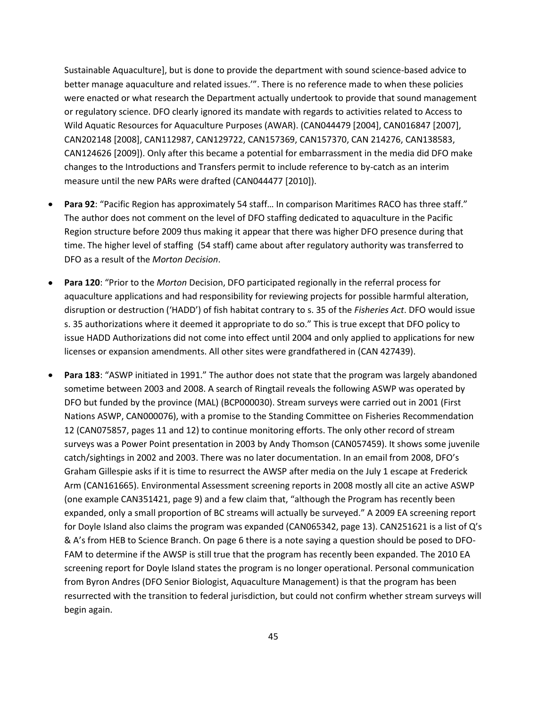Sustainable Aquaculture], but is done to provide the department with sound science-based advice to better manage aquaculture and related issues.'". There is no reference made to when these policies were enacted or what research the Department actually undertook to provide that sound management or regulatory science. DFO clearly ignored its mandate with regards to activities related to Access to Wild Aquatic Resources for Aquaculture Purposes (AWAR). (CAN044479 [2004], CAN016847 [2007], CAN202148 [2008], CAN112987, CAN129722, CAN157369, CAN157370, CAN 214276, CAN138583, CAN124626 [2009]). Only after this became a potential for embarrassment in the media did DFO make changes to the Introductions and Transfers permit to include reference to by-catch as an interim measure until the new PARs were drafted (CAN044477 [2010]).

- **Para 92**: "Pacific Region has approximately 54 staff… In comparison Maritimes RACO has three staff."  $\bullet$ The author does not comment on the level of DFO staffing dedicated to aquaculture in the Pacific Region structure before 2009 thus making it appear that there was higher DFO presence during that time. The higher level of staffing (54 staff) came about after regulatory authority was transferred to DFO as a result of the *Morton Decision*.
- **Para 120**: "Prior to the *Morton* Decision, DFO participated regionally in the referral process for aquaculture applications and had responsibility for reviewing projects for possible harmful alteration, disruption or destruction ('HADD') of fish habitat contrary to s. 35 of the *Fisheries Act*. DFO would issue s. 35 authorizations where it deemed it appropriate to do so." This is true except that DFO policy to issue HADD Authorizations did not come into effect until 2004 and only applied to applications for new licenses or expansion amendments. All other sites were grandfathered in (CAN 427439).
- **Para 183**: "ASWP initiated in 1991." The author does not state that the program was largely abandoned  $\bullet$ sometime between 2003 and 2008. A search of Ringtail reveals the following ASWP was operated by DFO but funded by the province (MAL) (BCP000030). Stream surveys were carried out in 2001 (First Nations ASWP, CAN000076), with a promise to the Standing Committee on Fisheries Recommendation 12 (CAN075857, pages 11 and 12) to continue monitoring efforts. The only other record of stream surveys was a Power Point presentation in 2003 by Andy Thomson (CAN057459). It shows some juvenile catch/sightings in 2002 and 2003. There was no later documentation. In an email from 2008, DFO's Graham Gillespie asks if it is time to resurrect the AWSP after media on the July 1 escape at Frederick Arm (CAN161665). Environmental Assessment screening reports in 2008 mostly all cite an active ASWP (one example CAN351421, page 9) and a few claim that, "although the Program has recently been expanded, only a small proportion of BC streams will actually be surveyed." A 2009 EA screening report for Doyle Island also claims the program was expanded (CAN065342, page 13). CAN251621 is a list of Q's & A's from HEB to Science Branch. On page 6 there is a note saying a question should be posed to DFO-FAM to determine if the AWSP is still true that the program has recently been expanded. The 2010 EA screening report for Doyle Island states the program is no longer operational. Personal communication from Byron Andres (DFO Senior Biologist, Aquaculture Management) is that the program has been resurrected with the transition to federal jurisdiction, but could not confirm whether stream surveys will begin again.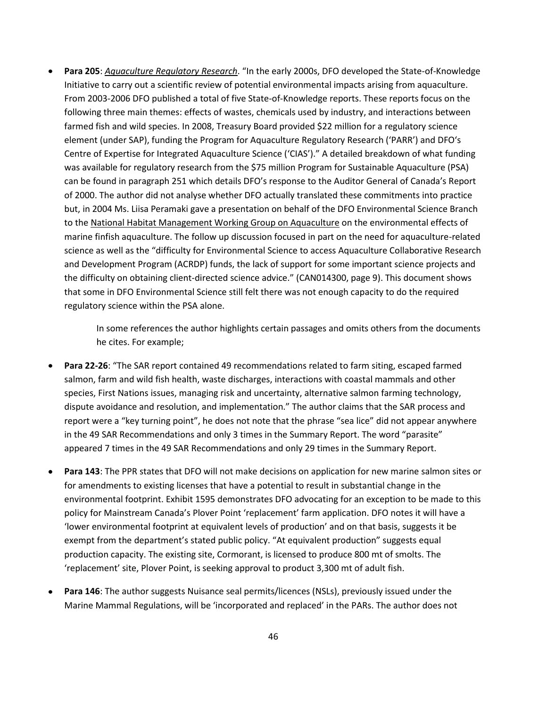**Para 205**: *Aquaculture Regulatory Research*. "In the early 2000s, DFO developed the State-of-Knowledge Initiative to carry out a scientific review of potential environmental impacts arising from aquaculture. From 2003-2006 DFO published a total of five State-of-Knowledge reports. These reports focus on the following three main themes: effects of wastes, chemicals used by industry, and interactions between farmed fish and wild species. In 2008, Treasury Board provided \$22 million for a regulatory science element (under SAP), funding the Program for Aquaculture Regulatory Research ('PARR') and DFO's Centre of Expertise for Integrated Aquaculture Science ('CIAS')." A detailed breakdown of what funding was available for regulatory research from the \$75 million Program for Sustainable Aquaculture (PSA) can be found in paragraph 251 which details DFO's response to the Auditor General of Canada's Report of 2000. The author did not analyse whether DFO actually translated these commitments into practice but, in 2004 Ms. Liisa Peramaki gave a presentation on behalf of the DFO Environmental Science Branch to the National Habitat Management Working Group on Aquaculture on the environmental effects of marine finfish aquaculture. The follow up discussion focused in part on the need for aquaculture-related science as well as the "difficulty for Environmental Science to access Aquaculture Collaborative Research and Development Program (ACRDP) funds, the lack of support for some important science projects and the difficulty on obtaining client-directed science advice." (CAN014300, page 9). This document shows that some in DFO Environmental Science still felt there was not enough capacity to do the required regulatory science within the PSA alone.

> In some references the author highlights certain passages and omits others from the documents he cites. For example;

- **Para 22-26**: "The SAR report contained 49 recommendations related to farm siting, escaped farmed salmon, farm and wild fish health, waste discharges, interactions with coastal mammals and other species, First Nations issues, managing risk and uncertainty, alternative salmon farming technology, dispute avoidance and resolution, and implementation." The author claims that the SAR process and report were a "key turning point", he does not note that the phrase "sea lice" did not appear anywhere in the 49 SAR Recommendations and only 3 times in the Summary Report. The word "parasite" appeared 7 times in the 49 SAR Recommendations and only 29 times in the Summary Report.
- **Para 143**: The PPR states that DFO will not make decisions on application for new marine salmon sites or for amendments to existing licenses that have a potential to result in substantial change in the environmental footprint. Exhibit 1595 demonstrates DFO advocating for an exception to be made to this policy for Mainstream Canada's Plover Point 'replacement' farm application. DFO notes it will have a 'lower environmental footprint at equivalent levels of production' and on that basis, suggests it be exempt from the department's stated public policy. "At equivalent production" suggests equal production capacity. The existing site, Cormorant, is licensed to produce 800 mt of smolts. The 'replacement' site, Plover Point, is seeking approval to product 3,300 mt of adult fish.
- **Para 146**: The author suggests Nuisance seal permits/licences (NSLs), previously issued under the Marine Mammal Regulations, will be 'incorporated and replaced' in the PARs. The author does not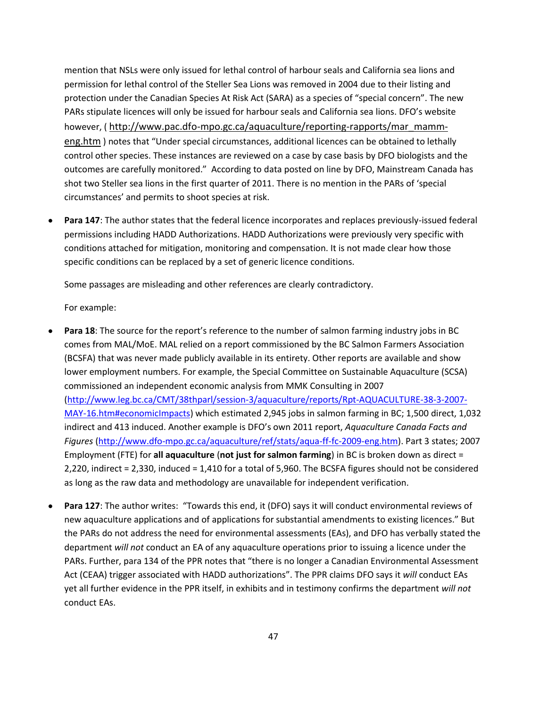mention that NSLs were only issued for lethal control of harbour seals and California sea lions and permission for lethal control of the Steller Sea Lions was removed in 2004 due to their listing and protection under the Canadian Species At Risk Act (SARA) as a species of "special concern". The new PARs stipulate licences will only be issued for harbour seals and California sea lions. DFO's website however, ( [http://www.pac.dfo-mpo.gc.ca/aquaculture/reporting-rapports/mar\\_mamm](http://www.pac.dfo-mpo.gc.ca/aquaculture/reporting-rapports/mar_mamm-eng.htm)[eng.htm](http://www.pac.dfo-mpo.gc.ca/aquaculture/reporting-rapports/mar_mamm-eng.htm) ) notes that "Under special circumstances, additional licences can be obtained to lethally control other species. These instances are reviewed on a case by case basis by DFO biologists and the outcomes are carefully monitored." According to data posted on line by DFO, Mainstream Canada has shot two Steller sea lions in the first quarter of 2011. There is no mention in the PARs of 'special circumstances' and permits to shoot species at risk.

**Para 147**: The author states that the federal licence incorporates and replaces previously-issued federal  $\bullet$ permissions including HADD Authorizations. HADD Authorizations were previously very specific with conditions attached for mitigation, monitoring and compensation. It is not made clear how those specific conditions can be replaced by a set of generic licence conditions.

Some passages are misleading and other references are clearly contradictory.

For example:

- **Para 18**: The source for the report's reference to the number of salmon farming industry jobs in BC comes from MAL/MoE. MAL relied on a report commissioned by the BC Salmon Farmers Association (BCSFA) that was never made publicly available in its entirety. Other reports are available and show lower employment numbers. For example, the Special Committee on Sustainable Aquaculture (SCSA) commissioned an independent economic analysis from MMK Consulting in 2007 [\(http://www.leg.bc.ca/CMT/38thparl/session-3/aquaculture/reports/Rpt-AQUACULTURE-38-3-2007-](http://www.leg.bc.ca/CMT/38thparl/session-3/aquaculture/reports/Rpt-AQUACULTURE-38-3-2007-MAY-16.htm#economicImpacts) [MAY-16.htm#economicImpacts\)](http://www.leg.bc.ca/CMT/38thparl/session-3/aquaculture/reports/Rpt-AQUACULTURE-38-3-2007-MAY-16.htm#economicImpacts) which estimated 2,945 jobs in salmon farming in BC; 1,500 direct, 1,032 indirect and 413 induced. Another example is DFO's own 2011 report, *Aquaculture Canada Facts and Figures* [\(http://www.dfo-mpo.gc.ca/aquaculture/ref/stats/aqua-ff-fc-2009-eng.htm\)](http://www.dfo-mpo.gc.ca/aquaculture/ref/stats/aqua-ff-fc-2009-eng.htm). Part 3 states; 2007 Employment (FTE) for **all aquaculture** (**not just for salmon farming**) in BC is broken down as direct = 2,220, indirect = 2,330, induced = 1,410 for a total of 5,960. The BCSFA figures should not be considered as long as the raw data and methodology are unavailable for independent verification.
- **Para 127**: The author writes: "Towards this end, it (DFO) says it will conduct environmental reviews of new aquaculture applications and of applications for substantial amendments to existing licences." But the PARs do not address the need for environmental assessments (EAs), and DFO has verbally stated the department *will not* conduct an EA of any aquaculture operations prior to issuing a licence under the PARs. Further, para 134 of the PPR notes that "there is no longer a Canadian Environmental Assessment Act (CEAA) trigger associated with HADD authorizations". The PPR claims DFO says it *will* conduct EAs yet all further evidence in the PPR itself, in exhibits and in testimony confirms the department *will not* conduct EAs.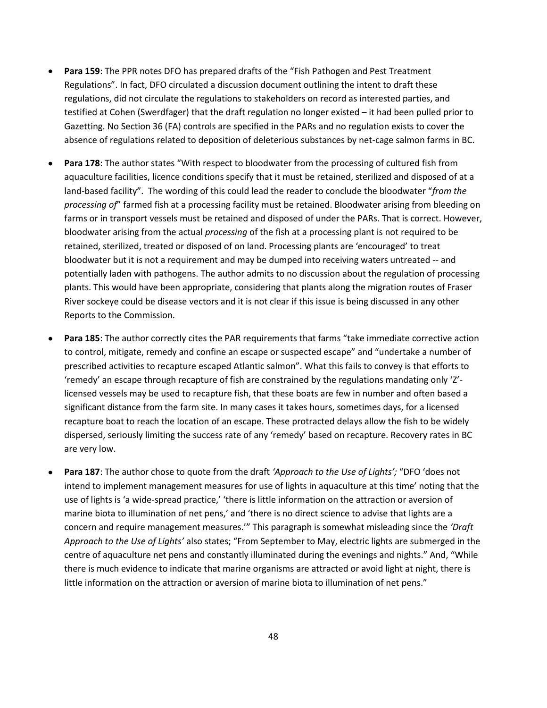- **Para 159**: The PPR notes DFO has prepared drafts of the "Fish Pathogen and Pest Treatment  $\bullet$ Regulations". In fact, DFO circulated a discussion document outlining the intent to draft these regulations, did not circulate the regulations to stakeholders on record as interested parties, and testified at Cohen (Swerdfager) that the draft regulation no longer existed – it had been pulled prior to Gazetting. No Section 36 (FA) controls are specified in the PARs and no regulation exists to cover the absence of regulations related to deposition of deleterious substances by net-cage salmon farms in BC.
- **Para 178**: The author states "With respect to bloodwater from the processing of cultured fish from aquaculture facilities, licence conditions specify that it must be retained, sterilized and disposed of at a land-based facility". The wording of this could lead the reader to conclude the bloodwater "*from the processing of*" farmed fish at a processing facility must be retained. Bloodwater arising from bleeding on farms or in transport vessels must be retained and disposed of under the PARs. That is correct. However, bloodwater arising from the actual *processing* of the fish at a processing plant is not required to be retained, sterilized, treated or disposed of on land. Processing plants are 'encouraged' to treat bloodwater but it is not a requirement and may be dumped into receiving waters untreated -- and potentially laden with pathogens. The author admits to no discussion about the regulation of processing plants. This would have been appropriate, considering that plants along the migration routes of Fraser River sockeye could be disease vectors and it is not clear if this issue is being discussed in any other Reports to the Commission.
- $\bullet$ **Para 185**: The author correctly cites the PAR requirements that farms "take immediate corrective action to control, mitigate, remedy and confine an escape or suspected escape" and "undertake a number of prescribed activities to recapture escaped Atlantic salmon". What this fails to convey is that efforts to 'remedy' an escape through recapture of fish are constrained by the regulations mandating only 'Z' licensed vessels may be used to recapture fish, that these boats are few in number and often based a significant distance from the farm site. In many cases it takes hours, sometimes days, for a licensed recapture boat to reach the location of an escape. These protracted delays allow the fish to be widely dispersed, seriously limiting the success rate of any 'remedy' based on recapture. Recovery rates in BC are very low.
- **Para 187**: The author chose to quote from the draft *'Approach to the Use of Lights';* "DFO 'does not  $\bullet$ intend to implement management measures for use of lights in aquaculture at this time' noting that the use of lights is 'a wide-spread practice,' 'there is little information on the attraction or aversion of marine biota to illumination of net pens,' and 'there is no direct science to advise that lights are a concern and require management measures.'" This paragraph is somewhat misleading since the *'Draft Approach to the Use of Lights'* also states; "From September to May, electric lights are submerged in the centre of aquaculture net pens and constantly illuminated during the evenings and nights." And, "While there is much evidence to indicate that marine organisms are attracted or avoid light at night, there is little information on the attraction or aversion of marine biota to illumination of net pens."